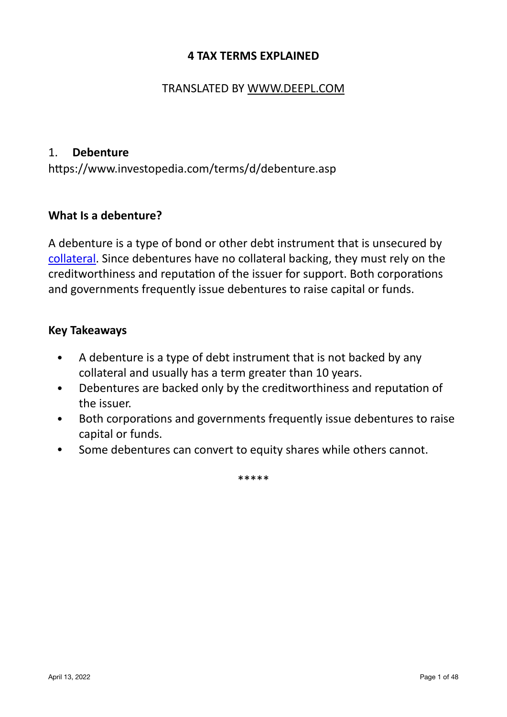#### **4 TAX TERMS EXPLAINED**

## TRANSLATED BY [WWW.DEEPL.COM](http://WWW.DEEPL.COM)

#### 1. **Debenture**

https://www.investopedia.com/terms/d/debenture.asp

#### **What Is a debenture?**

A debenture is a type of bond or other debt instrument that is unsecured by [collateral.](https://www.investopedia.com/terms/c/collateral.asp) Since debentures have no collateral backing, they must rely on the creditworthiness and reputation of the issuer for support. Both corporations and governments frequently issue debentures to raise capital or funds.

#### **Key Takeaways**

- A debenture is a type of debt instrument that is not backed by any collateral and usually has a term greater than 10 years.
- Debentures are backed only by the creditworthiness and reputation of the issuer.
- Both corporations and governments frequently issue debentures to raise capital or funds.
- Some debentures can convert to equity shares while others cannot.

\*\*\*\*\*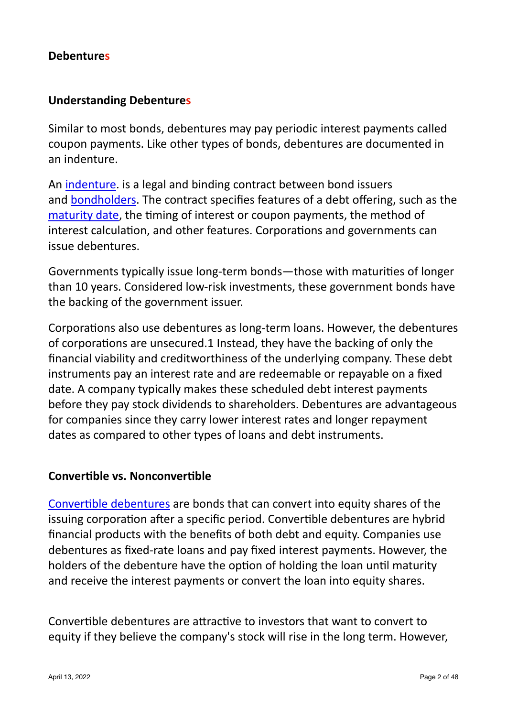#### **Debentures**

## **Understanding Debentures**

Similar to most bonds, debentures may pay periodic interest payments called coupon payments. Like other types of bonds, debentures are documented in an indenture.

An [indenture](https://www.investopedia.com/terms/i/indenture.asp). is a legal and binding contract between bond issuers and bondholders. The contract specifies features of a debt offering, such as the maturity date, the timing of interest or coupon payments, the method of interest calculation, and other features. Corporations and governments can issue debentures.

Governments typically issue long-term bonds—those with maturities of longer than 10 years. Considered low-risk investments, these government bonds have the backing of the government issuer.

Corporations also use debentures as long-term loans. However, the debentures of corporations are unsecured.1 Instead, they have the backing of only the financial viability and creditworthiness of the underlying company. These debt instruments pay an interest rate and are redeemable or repayable on a fixed date. A company typically makes these scheduled debt interest payments before they pay stock dividends to shareholders. Debentures are advantageous for companies since they carry lower interest rates and longer repayment dates as compared to other types of loans and debt instruments.

#### **Convertible vs. Nonconvertible**

Convertible debentures are bonds that can convert into equity shares of the issuing corporation after a specific period. Convertible debentures are hybrid financial products with the benefits of both debt and equity. Companies use debentures as fixed-rate loans and pay fixed interest payments. However, the holders of the debenture have the option of holding the loan until maturity and receive the interest payments or convert the loan into equity shares.

Convertible debentures are attractive to investors that want to convert to equity if they believe the company's stock will rise in the long term. However,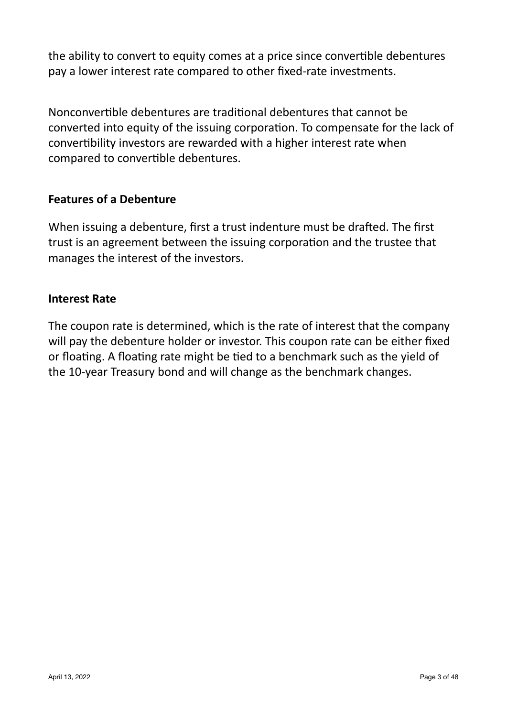the ability to convert to equity comes at a price since convertible debentures pay a lower interest rate compared to other fixed-rate investments.

Nonconvertible debentures are traditional debentures that cannot be converted into equity of the issuing corporation. To compensate for the lack of convertibility investors are rewarded with a higher interest rate when compared to convertible debentures.

#### **Features of a Debenture**

When issuing a debenture, first a trust indenture must be drafted. The first trust is an agreement between the issuing corporation and the trustee that manages the interest of the investors.

#### **Interest Rate**

The coupon rate is determined, which is the rate of interest that the company will pay the debenture holder or investor. This coupon rate can be either fixed or floating. A floating rate might be tied to a benchmark such as the yield of the 10-year Treasury bond and will change as the benchmark changes.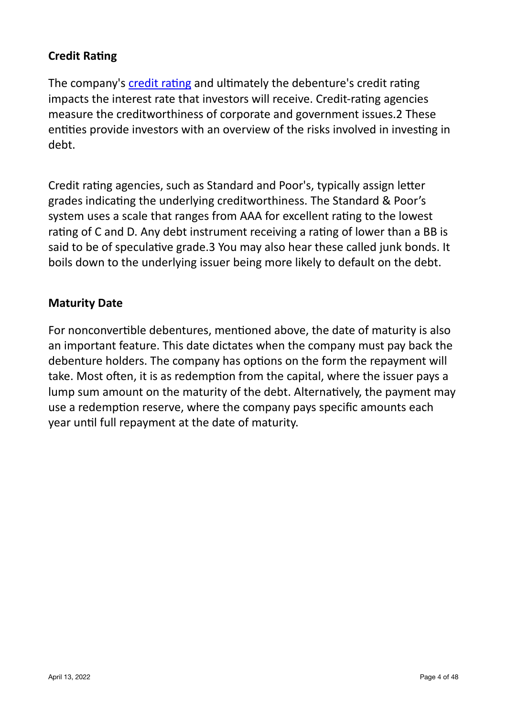# **Credit Rating**

The company's credit rating and ultimately the debenture's credit rating impacts the interest rate that investors will receive. Credit-rating agencies measure the creditworthiness of corporate and government issues.2 These entities provide investors with an overview of the risks involved in investing in debt.

Credit rating agencies, such as Standard and Poor's, typically assign letter grades indicating the underlying creditworthiness. The Standard & Poor's system uses a scale that ranges from AAA for excellent rating to the lowest rating of C and D. Any debt instrument receiving a rating of lower than a BB is said to be of speculative grade.3 You may also hear these called junk bonds. It boils down to the underlying issuer being more likely to default on the debt.

#### **Maturity Date**

For nonconvertible debentures, mentioned above, the date of maturity is also an important feature. This date dictates when the company must pay back the debenture holders. The company has options on the form the repayment will take. Most often, it is as redemption from the capital, where the issuer pays a lump sum amount on the maturity of the debt. Alternatively, the payment may use a redemption reserve, where the company pays specific amounts each year until full repayment at the date of maturity.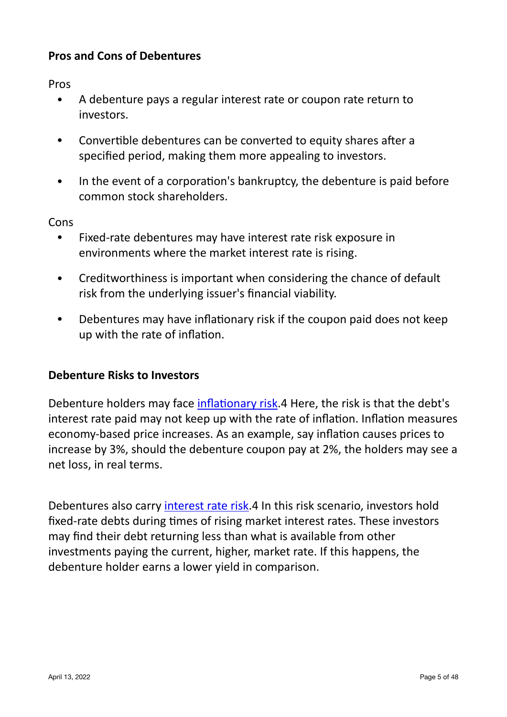# **Pros and Cons of Debentures**

Pros

- A debenture pays a regular interest rate or coupon rate return to investors.
- Convertible debentures can be converted to equity shares after a specified period, making them more appealing to investors.
- In the event of a corporation's bankruptcy, the debenture is paid before common stock shareholders.

Cons

- Fixed-rate debentures may have interest rate risk exposure in environments where the market interest rate is rising.
- Creditworthiness is important when considering the chance of default risk from the underlying issuer's financial viability.
- Debentures may have inflationary risk if the coupon paid does not keep up with the rate of inflation.

#### **Debenture Risks to Investors**

Debenture holders may face inflationary risk.4 Here, the risk is that the debt's interest rate paid may not keep up with the rate of inflation. Inflation measures economy-based price increases. As an example, say inflation causes prices to increase by 3%, should the debenture coupon pay at 2%, the holders may see a net loss, in real terms.

Debentures also carry interest rate risk.4 In this risk scenario, investors hold fixed-rate debts during times of rising market interest rates. These investors may find their debt returning less than what is available from other investments paying the current, higher, market rate. If this happens, the debenture holder earns a lower yield in comparison.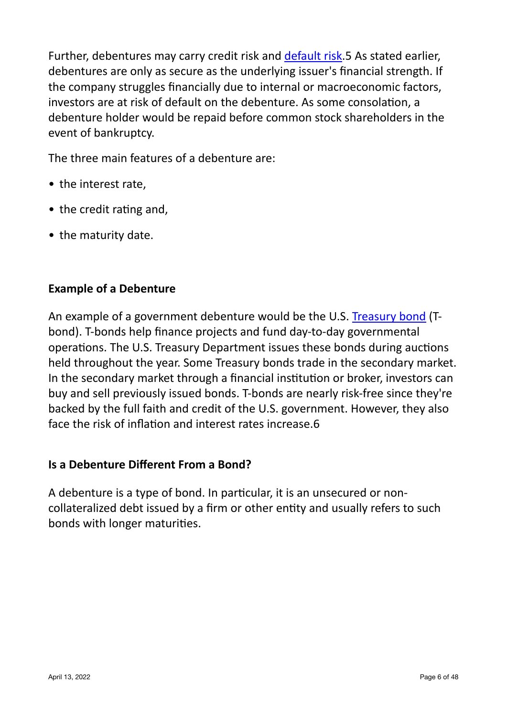Further, debentures may carry credit risk and default risk.5 As stated earlier, debentures are only as secure as the underlying issuer's financial strength. If the company struggles financially due to internal or macroeconomic factors, investors are at risk of default on the debenture. As some consolation, a debenture holder would be repaid before common stock shareholders in the event of bankruptcy.

The three main features of a debenture are:

- $\bullet$  the interest rate.
- the credit rating and,
- the maturity date.

## **Example of a Debenture**

An example of a government debenture would be the U.S. Treasury bond (Tbond). T-bonds help finance projects and fund day-to-day governmental operations. The U.S. Treasury Department issues these bonds during auctions held throughout the vear. Some Treasury bonds trade in the secondary market. In the secondary market through a financial institution or broker, investors can buy and sell previously issued bonds. T-bonds are nearly risk-free since they're backed by the full faith and credit of the U.S. government. However, they also face the risk of inflation and interest rates increase.6

#### **Is a Debenture Different From a Bond?**

A debenture is a type of bond. In particular, it is an unsecured or noncollateralized debt issued by a firm or other entity and usually refers to such bonds with longer maturities.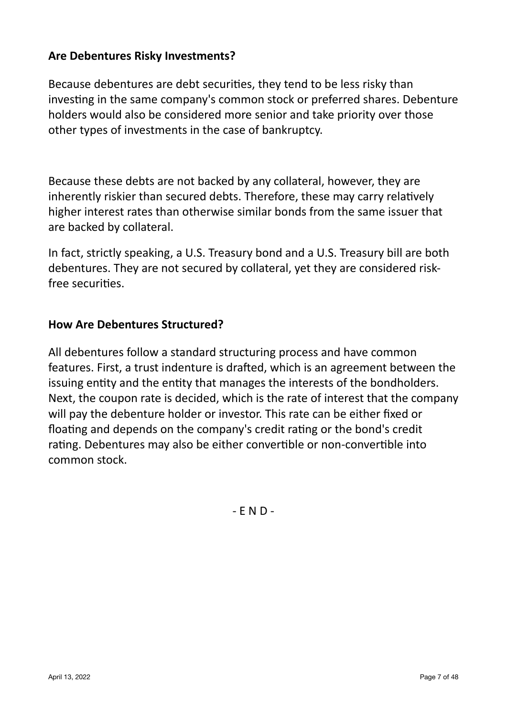# Are Debentures Risky Investments?

Because debentures are debt securities, they tend to be less risky than investing in the same company's common stock or preferred shares. Debenture holders would also be considered more senior and take priority over those other types of investments in the case of bankruptcy.

Because these debts are not backed by any collateral, however, they are inherently riskier than secured debts. Therefore, these may carry relatively higher interest rates than otherwise similar bonds from the same issuer that are backed by collateral.

In fact, strictly speaking, a U.S. Treasury bond and a U.S. Treasury bill are both debentures. They are not secured by collateral, yet they are considered riskfree securities.

## **How Are Debentures Structured?**

All debentures follow a standard structuring process and have common features. First, a trust indenture is drafted, which is an agreement between the issuing entity and the entity that manages the interests of the bondholders. Next, the coupon rate is decided, which is the rate of interest that the company will pay the debenture holder or investor. This rate can be either fixed or floating and depends on the company's credit rating or the bond's credit rating. Debentures may also be either convertible or non-convertible into common stock.

 $-FND -$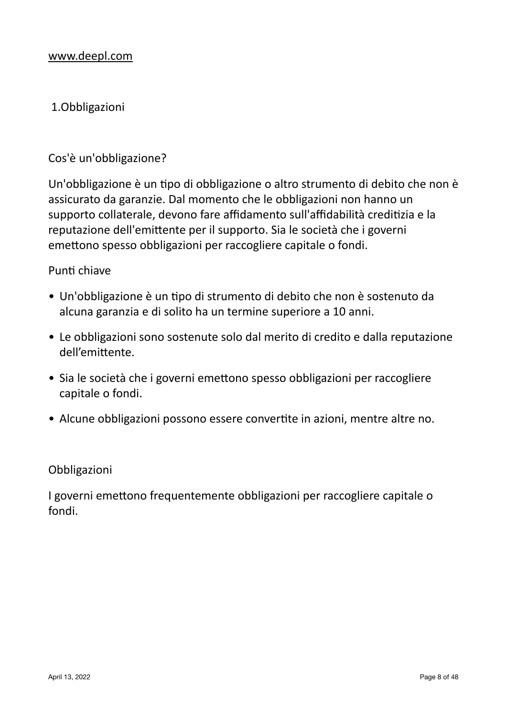# 1.Obbligazioni

#### Cos'è un'obbligazione?

Un'obbligazione è un tipo di obbligazione o altro strumento di debito che non è assicurato da garanzie. Dal momento che le obbligazioni non hanno un supporto collaterale, devono fare affidamento sull'affidabilità creditizia e la reputazione dell'emittente per il supporto. Sia le società che i governi emettono spesso obbligazioni per raccogliere capitale o fondi.

#### Punti chiave

- Un'obbligazione è un tipo di strumento di debito che non è sostenuto da alcuna garanzia e di solito ha un termine superiore a 10 anni.
- Le obbligazioni sono sostenute solo dal merito di credito e dalla reputazione dell'emittente.
- Sia le società che i governi emettono spesso obbligazioni per raccogliere capitale o fondi.
- Alcune obbligazioni possono essere convertite in azioni, mentre altre no.

#### Obbligazioni

I governi emettono frequentemente obbligazioni per raccogliere capitale o fondi.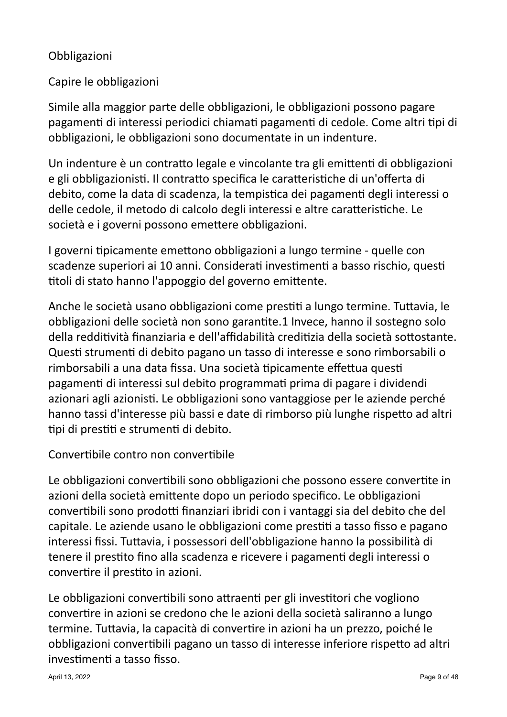# Obbligazioni

# Capire le obbligazioni

Simile alla maggior parte delle obbligazioni, le obbligazioni possono pagare pagamenti di interessi periodici chiamati pagamenti di cedole. Come altri tipi di obbligazioni, le obbligazioni sono documentate in un indenture.

Un indenture è un contratto legale e vincolante tra gli emittenti di obbligazioni e gli obbligazionisti. Il contratto specifica le caratteristiche di un'offerta di debito, come la data di scadenza, la tempistica dei pagamenti degli interessi o delle cedole, il metodo di calcolo degli interessi e altre caratteristiche. Le società e i governi possono emettere obbligazioni.

I governi tipicamente emettono obbligazioni a lungo termine - quelle con scadenze superiori ai 10 anni. Considerati investimenti a basso rischio, questi titoli di stato hanno l'appoggio del governo emittente.

Anche le società usano obbligazioni come prestiti a lungo termine. Tuttavia, le obbligazioni delle società non sono garantite.1 Invece, hanno il sostegno solo della redditività finanziaria e dell'affidabilità creditizia della società sottostante. Questi strumenti di debito pagano un tasso di interesse e sono rimborsabili o rimborsabili a una data fissa. Una società tipicamente effettua questi pagamenti di interessi sul debito programmati prima di pagare i dividendi azionari agli azionisti. Le obbligazioni sono vantaggiose per le aziende perché hanno tassi d'interesse più bassi e date di rimborso più lunghe rispetto ad altri tipi di prestiti e strumenti di debito.

## Convertibile contro non convertibile

Le obbligazioni convertibili sono obbligazioni che possono essere convertite in azioni della società emittente dopo un periodo specifico. Le obbligazioni convertibili sono prodotti finanziari ibridi con i vantaggi sia del debito che del capitale. Le aziende usano le obbligazioni come prestiti a tasso fisso e pagano interessi fissi. Tuttavia, i possessori dell'obbligazione hanno la possibilità di tenere il prestito fino alla scadenza e ricevere i pagamenti degli interessi o convertire il prestito in azioni.

Le obbligazioni convertibili sono attraenti per gli investitori che vogliono convertire in azioni se credono che le azioni della società saliranno a lungo termine. Tuttavia, la capacità di convertire in azioni ha un prezzo, poiché le obbligazioni convertibili pagano un tasso di interesse inferiore rispetto ad altri investimenti a tasso fisso.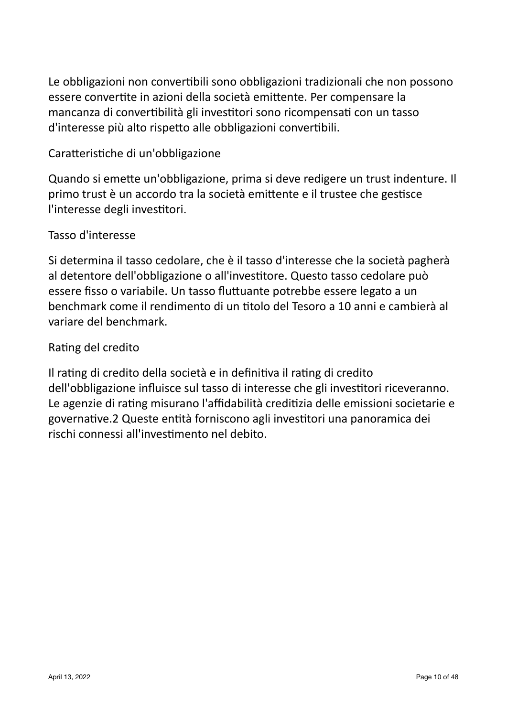Le obbligazioni non convertibili sono obbligazioni tradizionali che non possono essere convertite in azioni della società emittente. Per compensare la mancanza di convertibilità gli investitori sono ricompensati con un tasso d'interesse più alto rispetto alle obbligazioni convertibili.

# Caratteristiche di un'obbligazione

Quando si emette un'obbligazione, prima si deve redigere un trust indenture. Il primo trust è un accordo tra la società emittente e il trustee che gestisce l'interesse degli investitori.

## Tasso d'interesse

Si determina il tasso cedolare, che è il tasso d'interesse che la società pagherà al detentore dell'obbligazione o all'investitore. Questo tasso cedolare può essere fisso o variabile. Un tasso fluttuante potrebbe essere legato a un benchmark come il rendimento di un titolo del Tesoro a 10 anni e cambierà al variare del benchmark.

## Rating del credito

Il rating di credito della società e in definitiva il rating di credito dell'obbligazione influisce sul tasso di interesse che gli investitori riceveranno. Le agenzie di rating misurano l'affidabilità creditizia delle emissioni societarie e governative.2 Queste entità forniscono agli investitori una panoramica dei rischi connessi all'investimento nel debito.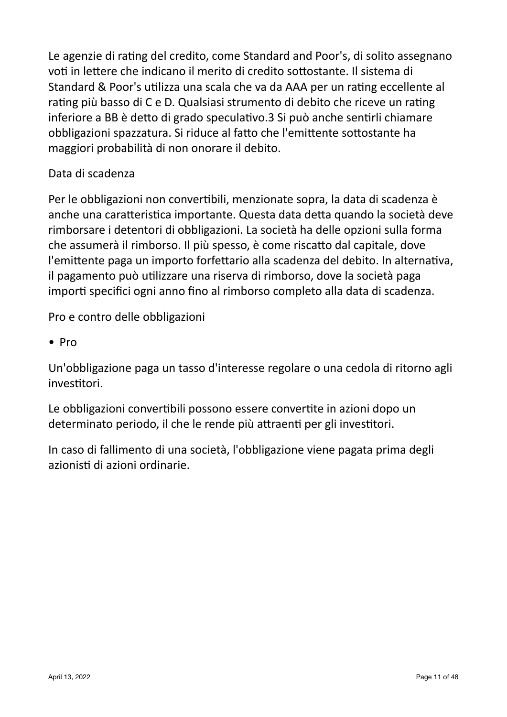Le agenzie di rating del credito, come Standard and Poor's, di solito assegnano voti in lettere che indicano il merito di credito sottostante. Il sistema di Standard & Poor's utilizza una scala che va da AAA per un rating eccellente al rating più basso di C e D. Qualsiasi strumento di debito che riceve un rating inferiore a BB è detto di grado speculativo.3 Si può anche sentirli chiamare obbligazioni spazzatura. Si riduce al fatto che l'emittente sottostante ha maggiori probabilità di non onorare il debito.

# Data di scadenza

Per le obbligazioni non convertibili, menzionate sopra, la data di scadenza è anche una caratteristica importante. Questa data detta quando la società deve rimborsare i detentori di obbligazioni. La società ha delle opzioni sulla forma che assumerà il rimborso. Il più spesso, è come riscatto dal capitale, dove l'emittente paga un importo forfettario alla scadenza del debito. In alternativa, il pagamento può utilizzare una riserva di rimborso, dove la società paga importi specifici ogni anno fino al rimborso completo alla data di scadenza.

Pro e contro delle obbligazioni

• Pro

Un'obbligazione paga un tasso d'interesse regolare o una cedola di ritorno agli investitori.

Le obbligazioni convertibili possono essere convertite in azioni dopo un determinato periodo, il che le rende più attraenti per gli investitori.

In caso di fallimento di una società, l'obbligazione viene pagata prima degli azionisti di azioni ordinarie.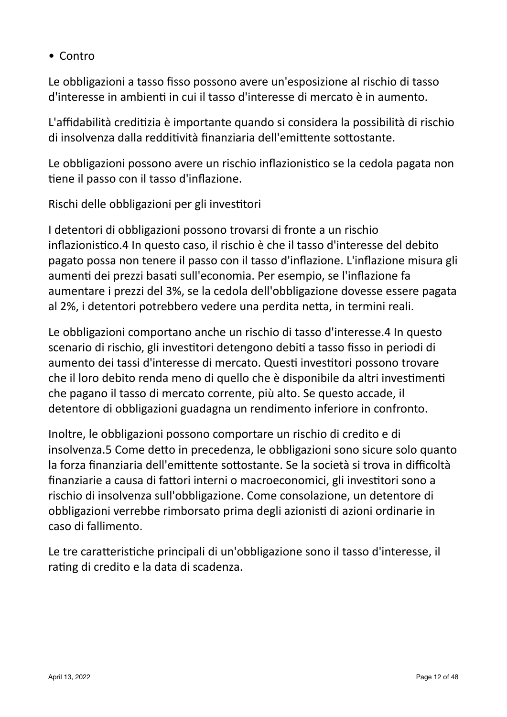• Contro

Le obbligazioni a tasso fisso possono avere un'esposizione al rischio di tasso d'interesse in ambienti in cui il tasso d'interesse di mercato è in aumento.

L'affidabilità creditizia è importante quando si considera la possibilità di rischio di insolvenza dalla redditività finanziaria dell'emittente sottostante.

Le obbligazioni possono avere un rischio inflazionistico se la cedola pagata non tiene il passo con il tasso d'inflazione.

Rischi delle obbligazioni per gli investitori

I detentori di obbligazioni possono trovarsi di fronte a un rischio inflazionistico.4 In questo caso, il rischio è che il tasso d'interesse del debito pagato possa non tenere il passo con il tasso d'inflazione. L'inflazione misura gli aumenti dei prezzi basati sull'economia. Per esempio, se l'inflazione fa aumentare i prezzi del 3%, se la cedola dell'obbligazione dovesse essere pagata al 2%, i detentori potrebbero vedere una perdita netta, in termini reali.

Le obbligazioni comportano anche un rischio di tasso d'interesse.4 In questo scenario di rischio, gli investitori detengono debiti a tasso fisso in periodi di aumento dei tassi d'interesse di mercato. Questi investitori possono trovare che il loro debito renda meno di quello che è disponibile da altri investimenti che pagano il tasso di mercato corrente, più alto. Se questo accade, il detentore di obbligazioni guadagna un rendimento inferiore in confronto.

Inoltre, le obbligazioni possono comportare un rischio di credito e di insolvenza.5 Come detto in precedenza, le obbligazioni sono sicure solo quanto la forza finanziaria dell'emittente sottostante. Se la società si trova in difficoltà finanziarie a causa di fattori interni o macroeconomici, gli investitori sono a rischio di insolvenza sull'obbligazione. Come consolazione, un detentore di obbligazioni verrebbe rimborsato prima degli azionisti di azioni ordinarie in caso di fallimento.

Le tre caratteristiche principali di un'obbligazione sono il tasso d'interesse, il rating di credito e la data di scadenza.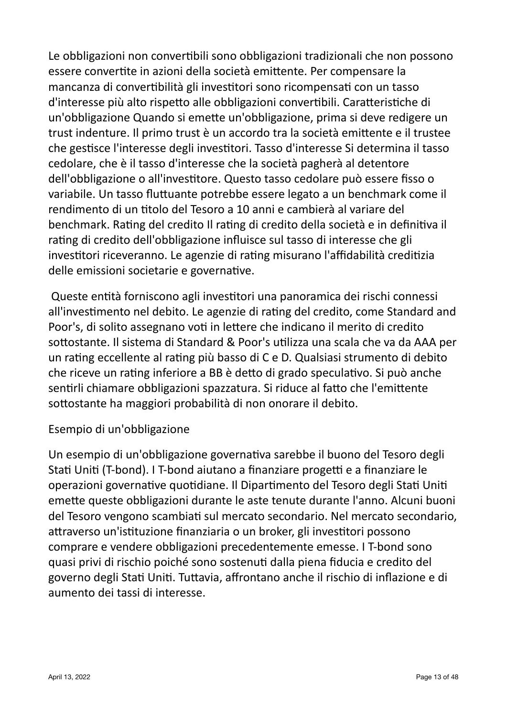Le obbligazioni non convertibili sono obbligazioni tradizionali che non possono essere convertite in azioni della società emittente. Per compensare la mancanza di convertibilità gli investitori sono ricompensati con un tasso d'interesse più alto rispetto alle obbligazioni convertibili. Caratteristiche di un'obbligazione Quando si emette un'obbligazione, prima si deve redigere un trust indenture. Il primo trust è un accordo tra la società emittente e il trustee che gestisce l'interesse degli investitori. Tasso d'interesse Si determina il tasso cedolare, che è il tasso d'interesse che la società pagherà al detentore dell'obbligazione o all'investitore. Questo tasso cedolare può essere fisso o variabile. Un tasso fluttuante potrebbe essere legato a un benchmark come il rendimento di un titolo del Tesoro a 10 anni e cambierà al variare del benchmark. Rating del credito Il rating di credito della società e in definitiva il rating di credito dell'obbligazione influisce sul tasso di interesse che gli investitori riceveranno. Le agenzie di rating misurano l'affidabilità creditizia delle emissioni societarie e governative.

Queste entità forniscono agli investitori una panoramica dei rischi connessi all'investimento nel debito. Le agenzie di rating del credito, come Standard and Poor's, di solito assegnano voti in lettere che indicano il merito di credito sottostante. Il sistema di Standard & Poor's utilizza una scala che va da AAA per un rating eccellente al rating più basso di C e D. Qualsiasi strumento di debito che riceve un rating inferiore a BB è detto di grado speculativo. Si può anche sentirli chiamare obbligazioni spazzatura. Si riduce al fatto che l'emittente sottostante ha maggiori probabilità di non onorare il debito.

## Esempio di un'obbligazione

Un esempio di un'obbligazione governativa sarebbe il buono del Tesoro degli Stati Uniti (T-bond). I T-bond aiutano a finanziare progetti e a finanziare le operazioni governative quotidiane. Il Dipartimento del Tesoro degli Stati Uniti emette queste obbligazioni durante le aste tenute durante l'anno. Alcuni buoni del Tesoro vengono scambiati sul mercato secondario. Nel mercato secondario, attraverso un'istituzione finanziaria o un broker, gli investitori possono comprare e vendere obbligazioni precedentemente emesse. I T-bond sono quasi privi di rischio poiché sono sostenuti dalla piena fiducia e credito del governo degli Stati Uniti. Tuttavia, affrontano anche il rischio di inflazione e di aumento dei tassi di interesse.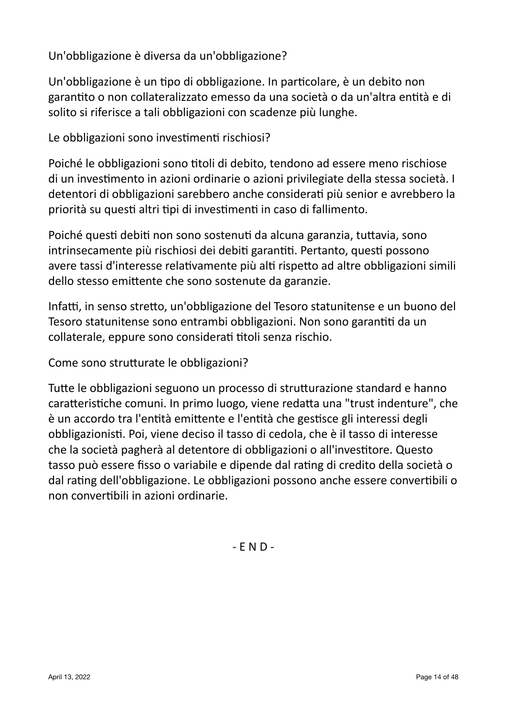Un'obbligazione è diversa da un'obbligazione?

Un'obbligazione è un tipo di obbligazione. In particolare, è un debito non garantito o non collateralizzato emesso da una società o da un'altra entità e di solito si riferisce a tali obbligazioni con scadenze più lunghe.

Le obbligazioni sono investimenti rischiosi?

Poiché le obbligazioni sono titoli di debito, tendono ad essere meno rischiose di un investimento in azioni ordinarie o azioni privilegiate della stessa società. I detentori di obbligazioni sarebbero anche considerati più senior e avrebbero la priorità su questi altri tipi di investimenti in caso di fallimento.

Poiché questi debiti non sono sostenuti da alcuna garanzia, tuttavia, sono intrinsecamente più rischiosi dei debiti garantiti. Pertanto, questi possono avere tassi d'interesse relativamente più alti rispetto ad altre obbligazioni simili dello stesso emittente che sono sostenute da garanzie.

Infatti, in senso stretto, un'obbligazione del Tesoro statunitense e un buono del Tesoro statunitense sono entrambi obbligazioni. Non sono garantiti da un collaterale, eppure sono considerati titoli senza rischio.

Come sono strutturate le obbligazioni?

Tutte le obbligazioni seguono un processo di strutturazione standard e hanno caratteristiche comuni. In primo luogo, viene redatta una "trust indenture", che è un accordo tra l'entità emittente e l'entità che gestisce gli interessi degli obbligazionisti. Poi, viene deciso il tasso di cedola, che è il tasso di interesse che la società pagherà al detentore di obbligazioni o all'investitore. Questo tasso può essere fisso o variabile e dipende dal rating di credito della società o dal rating dell'obbligazione. Le obbligazioni possono anche essere convertibili o non convertibili in azioni ordinarie.

 $-$  E N D  $-$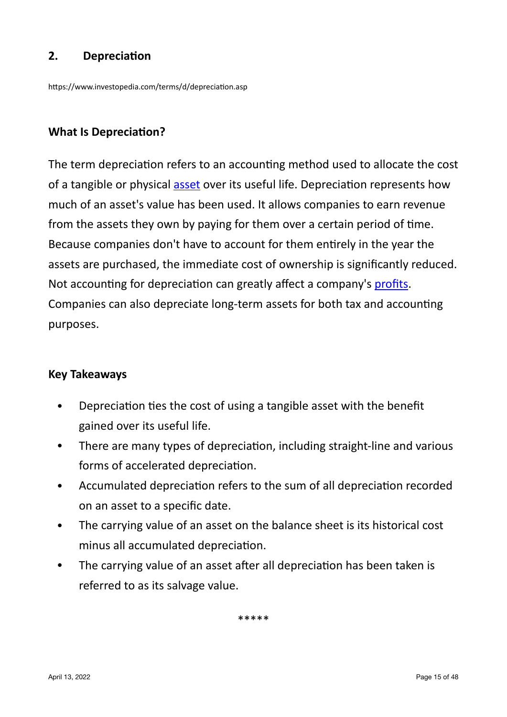# **2. Depreciation**

https://www.investopedia.com/terms/d/depreciation.asp

#### **What Is Depreciation?**

The term depreciation refers to an accounting method used to allocate the cost of a tangible or physical [asset](https://www.investopedia.com/terms/a/asset.asp) over its useful life. Depreciation represents how much of an asset's value has been used. It allows companies to earn revenue from the assets they own by paying for them over a certain period of time. Because companies don't have to account for them entirely in the year the assets are purchased, the immediate cost of ownership is significantly reduced. Not accounting for depreciation can greatly affect a company's [profits.](https://www.investopedia.com/terms/p/profit.asp) Companies can also depreciate long-term assets for both tax and accounting purposes.

#### **Key Takeaways**

- Depreciation ties the cost of using a tangible asset with the benefit gained over its useful life.
- There are many types of depreciation, including straight-line and various forms of accelerated depreciation.
- Accumulated depreciation refers to the sum of all depreciation recorded on an asset to a specific date.
- The carrying value of an asset on the balance sheet is its historical cost minus all accumulated depreciation.
- The carrying value of an asset after all depreciation has been taken is referred to as its salvage value.

\*\*\*\*\*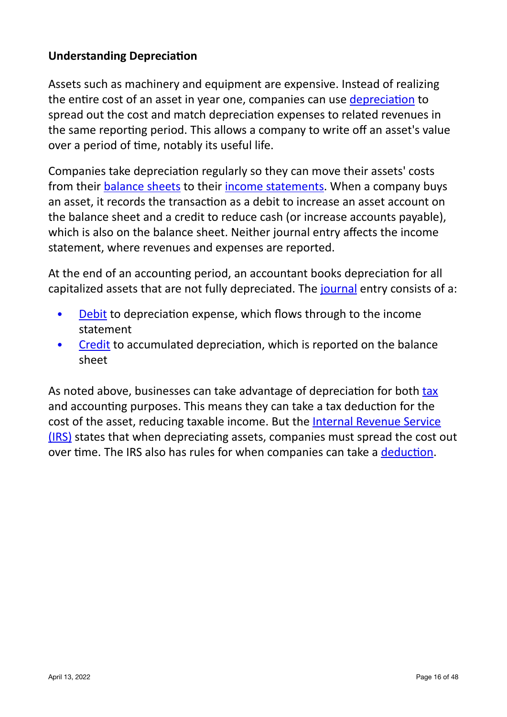# **Understanding Depreciation**

Assets such as machinery and equipment are expensive. Instead of realizing the entire cost of an asset in year one, companies can use [depreciation](https://www.investopedia.com/articles/fundamental/04/090804.asp) to spread out the cost and match depreciation expenses to related revenues in the same reporting period. This allows a company to write off an asset's value over a period of time, notably its useful life.

Companies take depreciation regularly so they can move their assets' costs from their balance sheets to their income statements. When a company buys an asset, it records the transaction as a debit to increase an asset account on the balance sheet and a credit to reduce cash (or increase accounts payable), which is also on the balance sheet. Neither journal entry affects the income statement, where revenues and expenses are reported.

At the end of an accounting period, an accountant books depreciation for all capitalized assets that are not fully depreciated. The journal entry consists of a:

- Debit to depreciation expense, which flows through to the income statement
- Credit to accumulated depreciation, which is reported on the balance sheet

As noted above, businesses can take advantage of depreciation for both tax and accounting purposes. This means they can take a tax deduction for the cost of the asset, reducing taxable income. But the Internal Revenue Service [\(IRS\)](https://www.investopedia.com/terms/i/irs.asp) states that when depreciating assets, companies must spread the cost out over time. The IRS also has rules for when companies can take a [deduction](https://www.investopedia.com/terms/d/deduction.asp).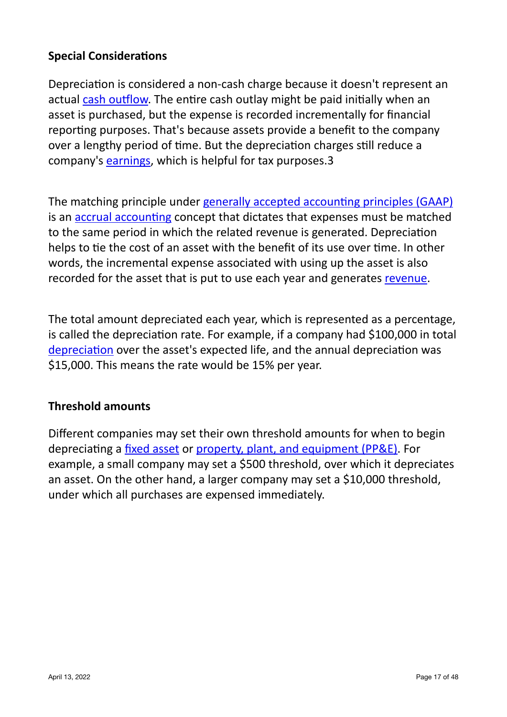# **Special Considerations**

Depreciation is considered a non-cash charge because it doesn't represent an actual cash outflow. The entire cash outlay might be paid initially when an asset is purchased, but the expense is recorded incrementally for financial reporting purposes. That's because assets provide a benefit to the company over a lengthy period of time. But the depreciation charges still reduce a company's [earnings,](https://www.investopedia.com/terms/e/earnings.asp) which is helpful for tax purposes.3

The matching principle under generally accepted accounting principles (GAAP) is an accrual accounting concept that dictates that expenses must be matched to the same period in which the related revenue is generated. Depreciation helps to tie the cost of an asset with the benefit of its use over time. In other words, the incremental expense associated with using up the asset is also recorded for the asset that is put to use each year and generates revenue.

The total amount depreciated each year, which is represented as a percentage, is called the depreciation rate. For example, if a company had \$100,000 in total [depreciation](https://www.investopedia.com/ask/answers/021815/what-are-different-ways-calculate-depreciation.asp) over the asset's expected life, and the annual depreciation was \$15,000. This means the rate would be 15% per year.

## **Threshold amounts**

Different companies may set their own threshold amounts for when to begin depreciating a fixed asset or property, plant, and equipment (PP&E). For example, a small company may set a \$500 threshold, over which it depreciates an asset. On the other hand, a larger company may set a \$10,000 threshold, under which all purchases are expensed immediately.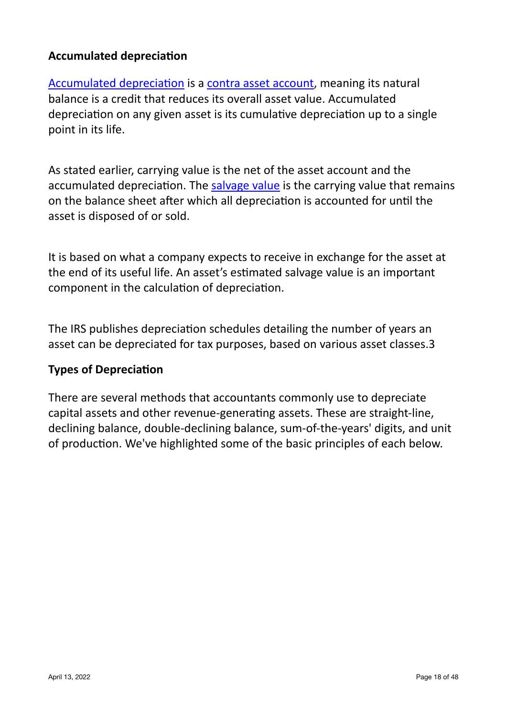## **Accumulated depreciation**

Accumulated depreciation is a contra asset account, meaning its natural balance is a credit that reduces its overall asset value. Accumulated depreciation on any given asset is its cumulative depreciation up to a single point in its life.

As stated earlier, carrying value is the net of the asset account and the accumulated depreciation. The salvage value is the carrying value that remains on the balance sheet after which all depreciation is accounted for until the asset is disposed of or sold.

It is based on what a company expects to receive in exchange for the asset at the end of its useful life. An asset's estimated salvage value is an important component in the calculation of depreciation.

The IRS publishes depreciation schedules detailing the number of years an asset can be depreciated for tax purposes, based on various asset classes.3

## **Types of Depreciation**

There are several methods that accountants commonly use to depreciate capital assets and other revenue-generating assets. These are straight-line, declining balance, double-declining balance, sum-of-the-years' digits, and unit of production. We've highlighted some of the basic principles of each below.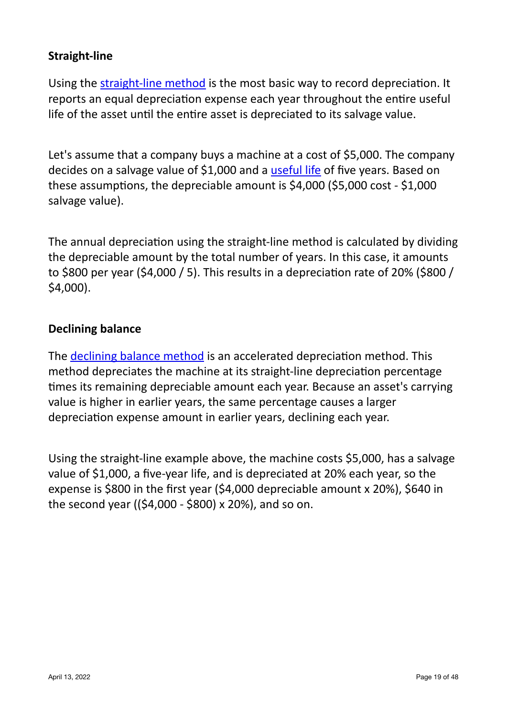# **Straight-line**

Using the straight-line method is the most basic way to record depreciation. It reports an equal depreciation expense each year throughout the entire useful life of the asset until the entire asset is depreciated to its salvage value.

Let's assume that a company buys a machine at a cost of \$5,000. The company decides on a salvage value of \$1,000 and a useful life of five years. Based on these assumptions, the depreciable amount is \$4,000 (\$5,000 cost - \$1,000 salvage value).

The annual depreciation using the straight-line method is calculated by dividing the depreciable amount by the total number of years. In this case, it amounts to \$800 per year (\$4,000 / 5). This results in a depreciation rate of 20% (\$800 / \$4,000).

#### **Declining balance**

The declining balance method is an accelerated depreciation method. This method depreciates the machine at its straight-line depreciation percentage times its remaining depreciable amount each year. Because an asset's carrying value is higher in earlier years, the same percentage causes a larger depreciation expense amount in earlier years, declining each year.

Using the straight-line example above, the machine costs \$5,000, has a salvage value of \$1,000, a five-year life, and is depreciated at 20% each year, so the expense is \$800 in the first year (\$4,000 depreciable amount x 20%), \$640 in the second year  $(($4,000 - $800) \times 20\%)$ , and so on.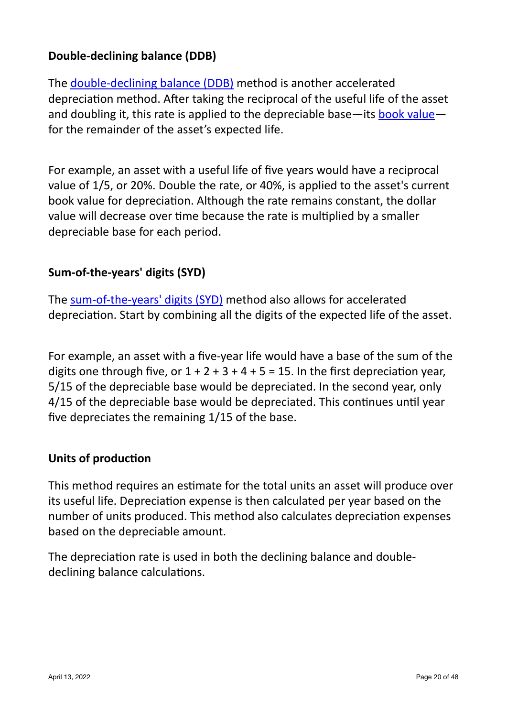# **Double-declining balance (DDB)**

The double-declining balance (DDB) method is another accelerated depreciation method. After taking the reciprocal of the useful life of the asset and doubling it, this rate is applied to the depreciable base—its book value for the remainder of the asset's expected life.

For example, an asset with a useful life of five years would have a reciprocal value of 1/5, or 20%. Double the rate, or 40%, is applied to the asset's current book value for depreciation. Although the rate remains constant, the dollar value will decrease over time because the rate is multiplied by a smaller depreciable base for each period.

## **Sum-of-the-years' digits (SYD)**

The sum-of-the-years' digits (SYD) method also allows for accelerated depreciation. Start by combining all the digits of the expected life of the asset.

For example, an asset with a five-year life would have a base of the sum of the digits one through five, or  $1 + 2 + 3 + 4 + 5 = 15$ . In the first depreciation year, 5/15 of the depreciable base would be depreciated. In the second year, only 4/15 of the depreciable base would be depreciated. This continues until year five depreciates the remaining  $1/15$  of the base.

## **Units of production**

This method requires an estimate for the total units an asset will produce over its useful life. Depreciation expense is then calculated per year based on the number of units produced. This method also calculates depreciation expenses based on the depreciable amount.

The depreciation rate is used in both the declining balance and doubledeclining balance calculations.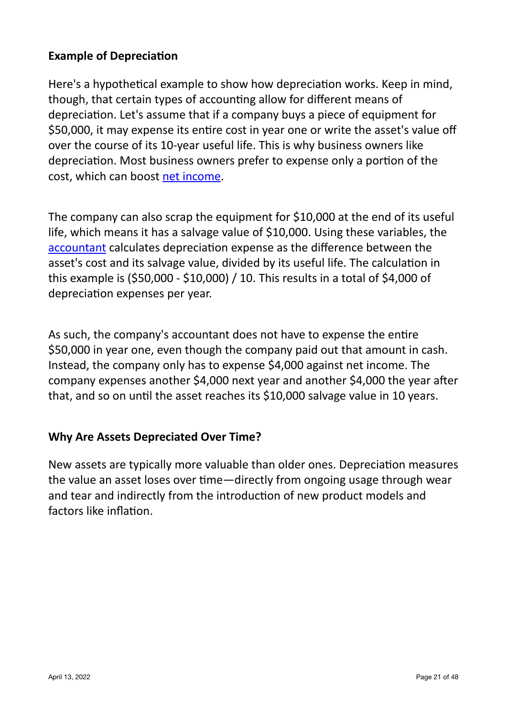# **Example of Depreciation**

Here's a hypothetical example to show how depreciation works. Keep in mind, though, that certain types of accounting allow for different means of depreciation. Let's assume that if a company buys a piece of equipment for \$50,000, it may expense its entire cost in year one or write the asset's value off over the course of its 10-year useful life. This is why business owners like depreciation. Most business owners prefer to expense only a portion of the cost, which can boost net income.

The company can also scrap the equipment for \$10,000 at the end of its useful life, which means it has a salvage value of \$10,000. Using these variables, the accountant calculates depreciation expense as the difference between the asset's cost and its salvage value, divided by its useful life. The calculation in this example is  $(550,000 - 510,000) / 10$ . This results in a total of \$4,000 of depreciation expenses per year.

As such, the company's accountant does not have to expense the entire \$50,000 in year one, even though the company paid out that amount in cash. Instead, the company only has to expense \$4,000 against net income. The company expenses another \$4,000 next year and another \$4,000 the year after that, and so on until the asset reaches its \$10,000 salvage value in 10 years.

## **Why Are Assets Depreciated Over Time?**

New assets are typically more valuable than older ones. Depreciation measures the value an asset loses over time—directly from ongoing usage through wear and tear and indirectly from the introduction of new product models and factors like inflation.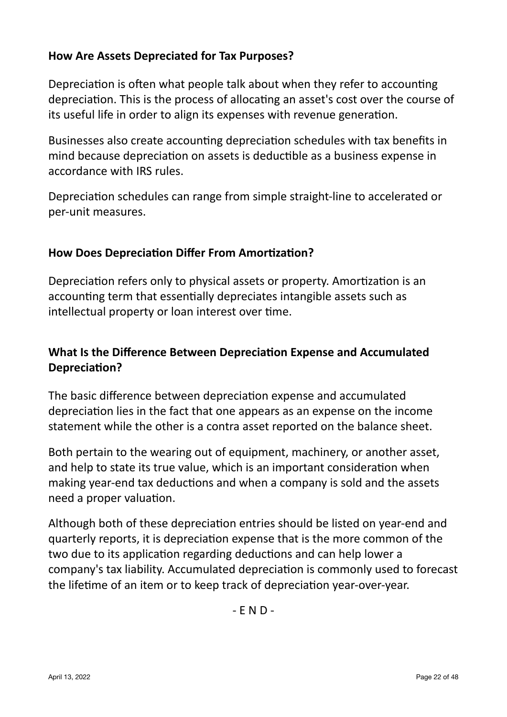# **How Are Assets Depreciated for Tax Purposes?**

Depreciation is often what people talk about when they refer to accounting depreciation. This is the process of allocating an asset's cost over the course of its useful life in order to align its expenses with revenue generation.

Businesses also create accounting depreciation schedules with tax benefits in mind because depreciation on assets is deductible as a business expense in accordance with IRS rules.

Depreciation schedules can range from simple straight-line to accelerated or per-unit measures.

## **How Does Depreciation Differ From Amortization?**

Depreciation refers only to physical assets or property. Amortization is an accounting term that essentially depreciates intangible assets such as intellectual property or loan interest over time.

# **What Is the Difference Between Depreciation Expense and Accumulated Depreciation?**

The basic difference between depreciation expense and accumulated depreciation lies in the fact that one appears as an expense on the income statement while the other is a contra asset reported on the balance sheet.

Both pertain to the wearing out of equipment, machinery, or another asset. and help to state its true value, which is an important consideration when making year-end tax deductions and when a company is sold and the assets need a proper valuation.

Although both of these depreciation entries should be listed on year-end and quarterly reports, it is depreciation expense that is the more common of the two due to its application regarding deductions and can help lower a company's tax liability. Accumulated depreciation is commonly used to forecast the lifetime of an item or to keep track of depreciation year-over-year.

 $-$  F N D  $-$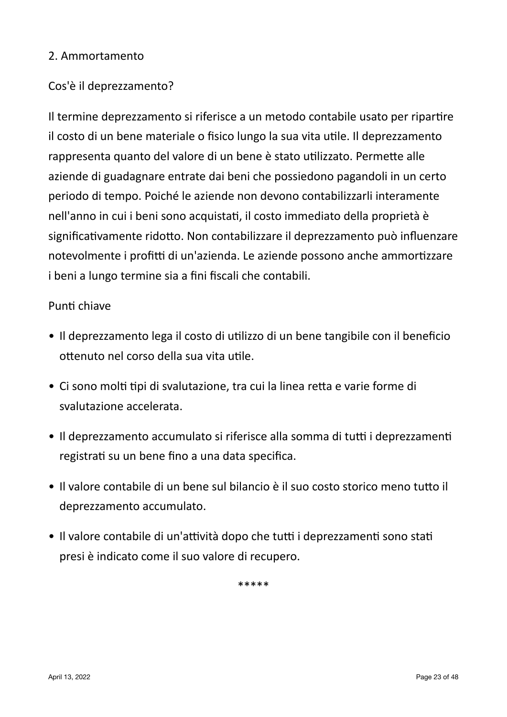#### 2. Ammortamento

# Cos'è il deprezzamento?

Il termine deprezzamento si riferisce a un metodo contabile usato per ripartire il costo di un bene materiale o fisico lungo la sua vita utile. Il deprezzamento rappresenta quanto del valore di un bene è stato utilizzato. Permette alle aziende di guadagnare entrate dai beni che possiedono pagandoli in un certo periodo di tempo. Poiché le aziende non devono contabilizzarli interamente nell'anno in cui i beni sono acquistati, il costo immediato della proprietà è significativamente ridotto. Non contabilizzare il deprezzamento può influenzare notevolmente i profitti di un'azienda. Le aziende possono anche ammortizzare i beni a lungo termine sia a fini fiscali che contabili.

#### Punti chiave

- Il deprezzamento lega il costo di utilizzo di un bene tangibile con il beneficio ottenuto nel corso della sua vita utile.
- Ci sono molti tipi di svalutazione, tra cui la linea retta e varie forme di svalutazione accelerata.
- Il deprezzamento accumulato si riferisce alla somma di tutti i deprezzamenti registrati su un bene fino a una data specifica.
- Il valore contabile di un bene sul bilancio è il suo costo storico meno tutto il deprezzamento accumulato.
- Il valore contabile di un'attività dopo che tutti i deprezzamenti sono stati presi è indicato come il suo valore di recupero.

\*\*\*\*\*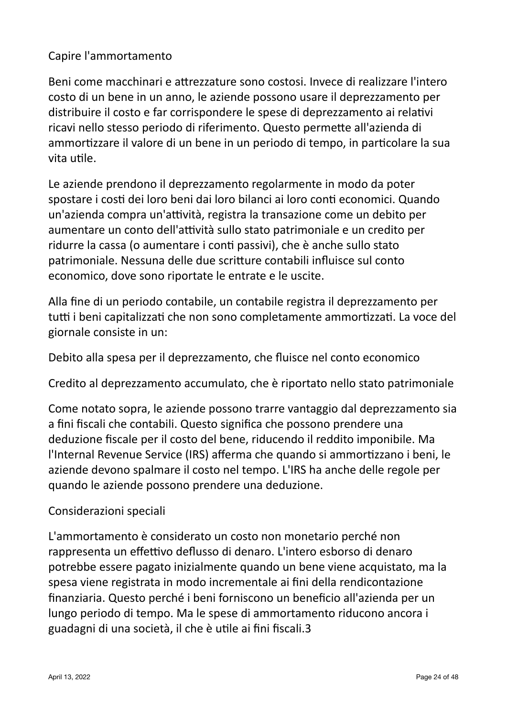# Capire l'ammortamento

Beni come macchinari e attrezzature sono costosi. Invece di realizzare l'intero costo di un bene in un anno, le aziende possono usare il deprezzamento per distribuire il costo e far corrispondere le spese di deprezzamento ai relativi ricavi nello stesso periodo di riferimento. Questo permette all'azienda di ammortizzare il valore di un bene in un periodo di tempo, in particolare la sua vita utile.

Le aziende prendono il deprezzamento regolarmente in modo da poter spostare i costi dei loro beni dai loro bilanci ai loro conti economici. Quando un'azienda compra un'attività, registra la transazione come un debito per aumentare un conto dell'attività sullo stato patrimoniale e un credito per ridurre la cassa (o aumentare i conti passivi), che è anche sullo stato patrimoniale. Nessuna delle due scritture contabili influisce sul conto economico, dove sono riportate le entrate e le uscite.

Alla fine di un periodo contabile, un contabile registra il deprezzamento per tutti i beni capitalizzati che non sono completamente ammortizzati. La voce del giornale consiste in un:

Debito alla spesa per il deprezzamento, che fluisce nel conto economico

Credito al deprezzamento accumulato, che è riportato nello stato patrimoniale

Come notato sopra, le aziende possono trarre vantaggio dal deprezzamento sia a fini fiscali che contabili. Questo significa che possono prendere una deduzione fiscale per il costo del bene, riducendo il reddito imponibile. Ma l'Internal Revenue Service (IRS) afferma che quando si ammortizzano i beni, le aziende devono spalmare il costo nel tempo. L'IRS ha anche delle regole per quando le aziende possono prendere una deduzione.

## Considerazioni speciali

L'ammortamento è considerato un costo non monetario perché non rappresenta un effettivo deflusso di denaro. L'intero esborso di denaro potrebbe essere pagato inizialmente quando un bene viene acquistato, ma la spesa viene registrata in modo incrementale ai fini della rendicontazione finanziaria. Questo perché i beni forniscono un beneficio all'azienda per un lungo periodo di tempo. Ma le spese di ammortamento riducono ancora i guadagni di una società, il che è utile ai fini fiscali.3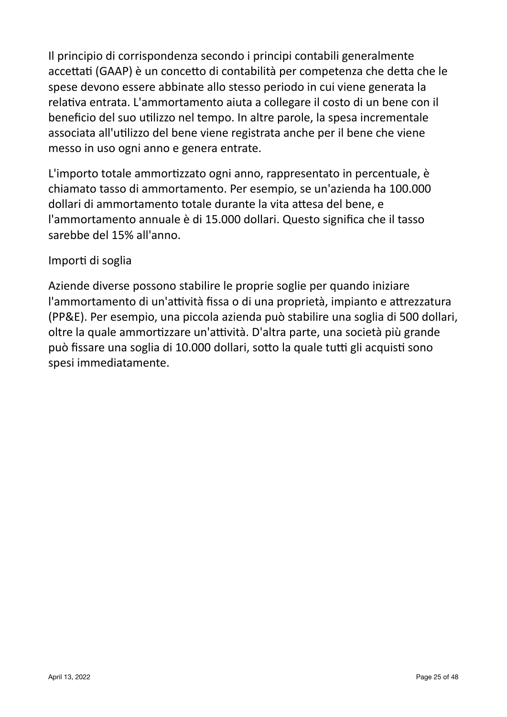Il principio di corrispondenza secondo i principi contabili generalmente accettati (GAAP) è un concetto di contabilità per competenza che detta che le spese devono essere abbinate allo stesso periodo in cui viene generata la relativa entrata. L'ammortamento aiuta a collegare il costo di un bene con il beneficio del suo utilizzo nel tempo. In altre parole, la spesa incrementale associata all'utilizzo del bene viene registrata anche per il bene che viene messo in uso ogni anno e genera entrate.

L'importo totale ammortizzato ogni anno, rappresentato in percentuale, è chiamato tasso di ammortamento. Per esempio, se un'azienda ha 100.000 dollari di ammortamento totale durante la vita attesa del bene, e l'ammortamento annuale è di 15.000 dollari. Questo significa che il tasso sarebbe del 15% all'anno.

## Importi di soglia

Aziende diverse possono stabilire le proprie soglie per quando iniziare l'ammortamento di un'attività fissa o di una proprietà, impianto e attrezzatura (PP&E). Per esempio, una piccola azienda può stabilire una soglia di 500 dollari, oltre la quale ammortizzare un'attività. D'altra parte, una società più grande può fissare una soglia di 10.000 dollari, sotto la quale tutti gli acquisti sono spesi immediatamente.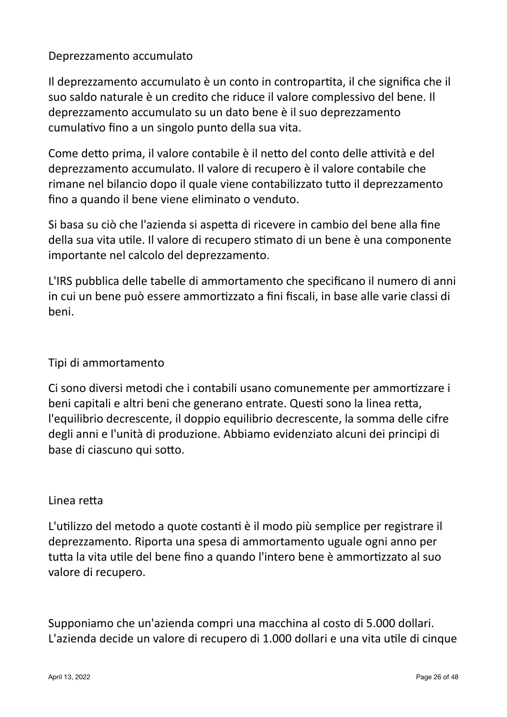Deprezzamento accumulato

Il deprezzamento accumulato è un conto in contropartita, il che significa che il suo saldo naturale è un credito che riduce il valore complessivo del bene. Il deprezzamento accumulato su un dato bene è il suo deprezzamento cumulativo fino a un singolo punto della sua vita.

Come detto prima, il valore contabile è il netto del conto delle attività e del deprezzamento accumulato. Il valore di recupero è il valore contabile che rimane nel bilancio dopo il quale viene contabilizzato tutto il deprezzamento fino a quando il bene viene eliminato o venduto.

Si basa su ciò che l'azienda si aspetta di ricevere in cambio del bene alla fine della sua vita utile. Il valore di recupero stimato di un bene è una componente importante nel calcolo del deprezzamento.

L'IRS pubblica delle tabelle di ammortamento che specificano il numero di anni in cui un bene può essere ammortizzato a fini fiscali, in base alle varie classi di beni.

## Tipi di ammortamento

Ci sono diversi metodi che i contabili usano comunemente per ammortizzare i beni capitali e altri beni che generano entrate. Questi sono la linea retta, l'equilibrio decrescente, il doppio equilibrio decrescente, la somma delle cifre degli anni e l'unità di produzione. Abbiamo evidenziato alcuni dei principi di base di ciascuno qui sotto.

#### Linea retta

L'utilizzo del metodo a quote costanti è il modo più semplice per registrare il deprezzamento. Riporta una spesa di ammortamento uguale ogni anno per tutta la vita utile del bene fino a quando l'intero bene è ammortizzato al suo valore di recupero.

Supponiamo che un'azienda compri una macchina al costo di 5.000 dollari. L'azienda decide un valore di recupero di 1.000 dollari e una vita utile di cinque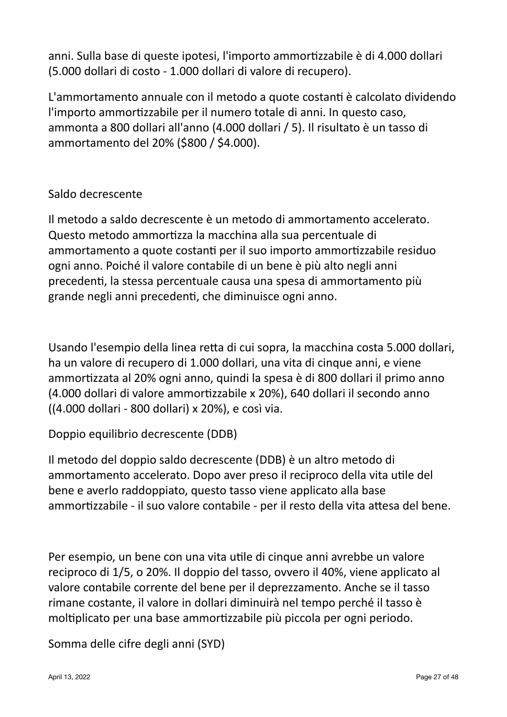anni. Sulla base di queste ipotesi, l'importo ammortizzabile è di 4.000 dollari (5.000 dollari di costo - 1.000 dollari di valore di recupero).

L'ammortamento annuale con il metodo a quote costanti è calcolato dividendo l'importo ammortizzabile per il numero totale di anni. In questo caso, ammonta a 800 dollari all'anno (4.000 dollari / 5). Il risultato è un tasso di ammortamento del 20% (\$800 / \$4.000).

# Saldo decrescente

Il metodo a saldo decrescente è un metodo di ammortamento accelerato. Questo metodo ammortizza la macchina alla sua percentuale di ammortamento a quote costanti per il suo importo ammortizzabile residuo ogni anno. Poiché il valore contabile di un bene è più alto negli anni precedenti, la stessa percentuale causa una spesa di ammortamento più grande negli anni precedenti, che diminuisce ogni anno.

Usando l'esempio della linea retta di cui sopra, la macchina costa 5.000 dollari, ha un valore di recupero di 1.000 dollari, una vita di cinque anni, e viene ammortizzata al 20% ogni anno, quindi la spesa è di 800 dollari il primo anno (4.000 dollari di valore ammortizzabile x 20%), 640 dollari il secondo anno ((4.000 dollari - 800 dollari) x 20%), e così via.

Doppio equilibrio decrescente (DDB)

Il metodo del doppio saldo decrescente (DDB) è un altro metodo di ammortamento accelerato. Dopo aver preso il reciproco della vita utile del bene e averlo raddoppiato, questo tasso viene applicato alla base ammortizzabile - il suo valore contabile - per il resto della vita attesa del bene.

Per esempio, un bene con una vita utile di cinque anni avrebbe un valore reciproco di 1/5, o 20%. Il doppio del tasso, ovvero il 40%, viene applicato al valore contabile corrente del bene per il deprezzamento. Anche se il tasso rimane costante, il valore in dollari diminuirà nel tempo perché il tasso è moltiplicato per una base ammortizzabile più piccola per ogni periodo.

Somma delle cifre degli anni (SYD)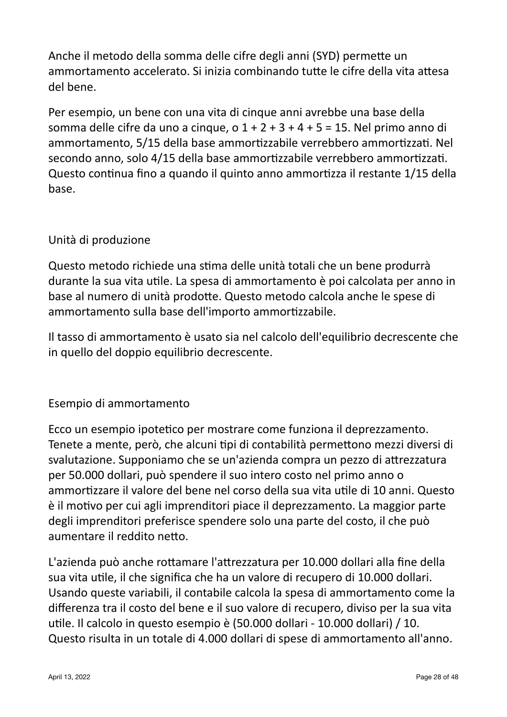Anche il metodo della somma delle cifre degli anni (SYD) permette un ammortamento accelerato. Si inizia combinando tutte le cifre della vita attesa del bene.

Per esempio, un bene con una vita di cinque anni avrebbe una base della somma delle cifre da uno a cinque,  $0.1 + 2 + 3 + 4 + 5 = 15$ . Nel primo anno di ammortamento, 5/15 della base ammortizzabile verrebbero ammortizzati. Nel secondo anno, solo 4/15 della base ammortizzabile verrebbero ammortizzati. Questo continua fino a quando il quinto anno ammortizza il restante 1/15 della base.

# Unità di produzione

Questo metodo richiede una stima delle unità totali che un bene produrrà durante la sua vita utile. La spesa di ammortamento è poi calcolata per anno in base al numero di unità prodotte. Questo metodo calcola anche le spese di ammortamento sulla base dell'importo ammortizzabile.

Il tasso di ammortamento è usato sia nel calcolo dell'equilibrio decrescente che in quello del doppio equilibrio decrescente.

## Esempio di ammortamento

Ecco un esempio ipotetico per mostrare come funziona il deprezzamento. Tenete a mente, però, che alcuni tipi di contabilità permettono mezzi diversi di svalutazione. Supponiamo che se un'azienda compra un pezzo di attrezzatura per 50.000 dollari, può spendere il suo intero costo nel primo anno o ammortizzare il valore del bene nel corso della sua vita utile di 10 anni. Questo è il motivo per cui agli imprenditori piace il deprezzamento. La maggior parte degli imprenditori preferisce spendere solo una parte del costo, il che può aumentare il reddito netto.

L'azienda può anche rottamare l'attrezzatura per 10.000 dollari alla fine della sua vita utile, il che significa che ha un valore di recupero di 10.000 dollari. Usando queste variabili, il contabile calcola la spesa di ammortamento come la differenza tra il costo del bene e il suo valore di recupero, diviso per la sua vita utile. Il calcolo in questo esempio è (50.000 dollari - 10.000 dollari) / 10. Questo risulta in un totale di 4.000 dollari di spese di ammortamento all'anno.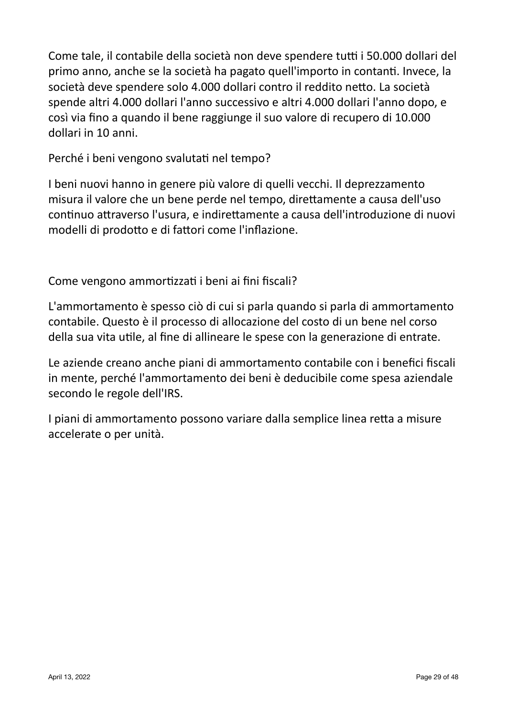Come tale, il contabile della società non deve spendere tutti i 50.000 dollari del primo anno, anche se la società ha pagato quell'importo in contanti. Invece, la società deve spendere solo 4.000 dollari contro il reddito netto. La società spende altri 4.000 dollari l'anno successivo e altri 4.000 dollari l'anno dopo, e così via fino a quando il bene raggiunge il suo valore di recupero di 10.000 dollari in 10 anni.

Perché i beni vengono svalutati nel tempo?

I beni nuovi hanno in genere più valore di quelli vecchi. Il deprezzamento misura il valore che un bene perde nel tempo, direttamente a causa dell'uso continuo attraverso l'usura, e indirettamente a causa dell'introduzione di nuovi modelli di prodotto e di fattori come l'inflazione.

Come vengono ammortizzati i beni ai fini fiscali?

L'ammortamento è spesso ciò di cui si parla quando si parla di ammortamento contabile. Questo è il processo di allocazione del costo di un bene nel corso della sua vita utile, al fine di allineare le spese con la generazione di entrate.

Le aziende creano anche piani di ammortamento contabile con i benefici fiscali in mente, perché l'ammortamento dei beni è deducibile come spesa aziendale secondo le regole dell'IRS.

I piani di ammortamento possono variare dalla semplice linea retta a misure accelerate o per unità.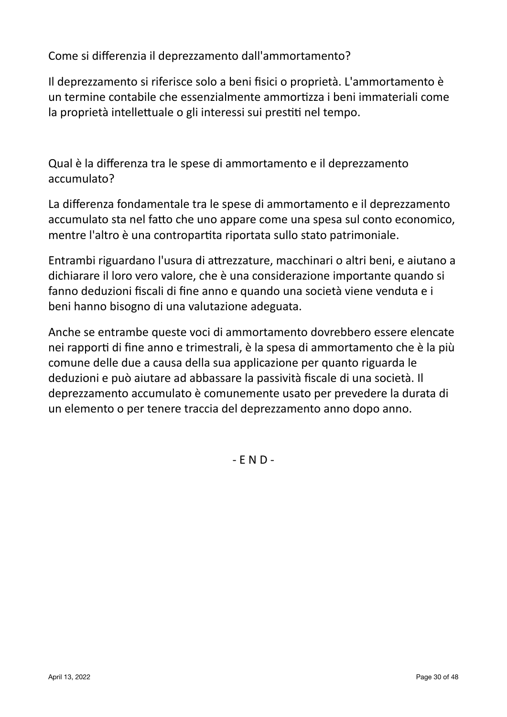Come si differenzia il deprezzamento dall'ammortamento?

Il deprezzamento și riferisce solo a beni fisici o proprietà. L'ammortamento è un termine contabile che essenzialmente ammortizza i beni immateriali come la proprietà intellettuale o gli interessi sui prestiti nel tempo.

Qual è la differenza tra le spese di ammortamento e il deprezzamento accumulato?

La differenza fondamentale tra le spese di ammortamento e il deprezzamento accumulato sta nel fatto che uno appare come una spesa sul conto economico, mentre l'altro è una contropartita riportata sullo stato patrimoniale.

Entrambi riguardano l'usura di attrezzature, macchinari o altri beni, e aiutano a dichiarare il loro vero valore, che è una considerazione importante quando si fanno deduzioni fiscali di fine anno e quando una società viene venduta e i beni hanno bisogno di una valutazione adeguata.

Anche se entrambe queste voci di ammortamento dovrebbero essere elencate nei rapporti di fine anno e trimestrali, è la spesa di ammortamento che è la più comune delle due a causa della sua applicazione per quanto riguarda le deduzioni e può aiutare ad abbassare la passività fiscale di una società. Il deprezzamento accumulato è comunemente usato per prevedere la durata di un elemento o per tenere traccia del deprezzamento anno dopo anno.

 $-END -$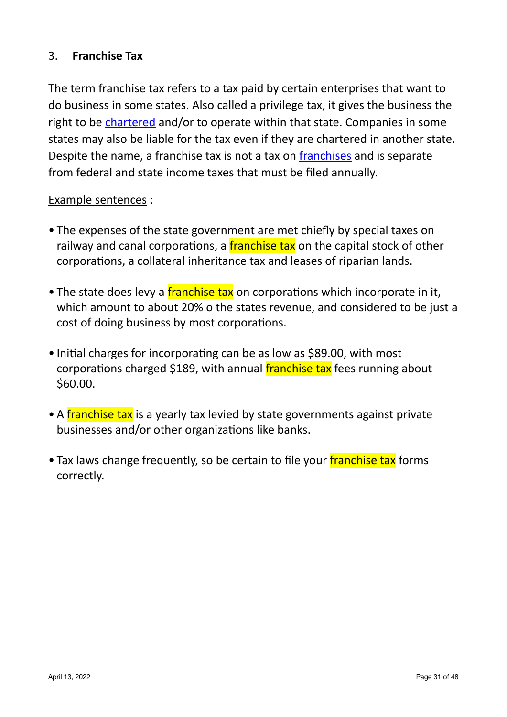# 3. **Franchise Tax**

The term franchise tax refers to a tax paid by certain enterprises that want to do business in some states. Also called a privilege tax, it gives the business the right to be chartered and/or to operate within that state. Companies in some states may also be liable for the tax even if they are chartered in another state. Despite the name, a franchise tax is not a tax on franchises and is separate from federal and state income taxes that must be filed annually.

#### Example sentences :

- The expenses of the state government are met chiefly by special taxes on railway and canal corporations, a franchise tax on the capital stock of other corporations, a collateral inheritance tax and leases of riparian lands.
- The state does levy a franchise tax on corporations which incorporate in it, which amount to about 20% o the states revenue, and considered to be just a cost of doing business by most corporations.
- Initial charges for incorporating can be as low as \$89.00, with most corporations charged \$189, with annual **franchise tax** fees running about \$60.00.
- A franchise tax is a yearly tax levied by state governments against private businesses and/or other organizations like banks.
- Tax laws change frequently, so be certain to file your franchise tax forms correctly.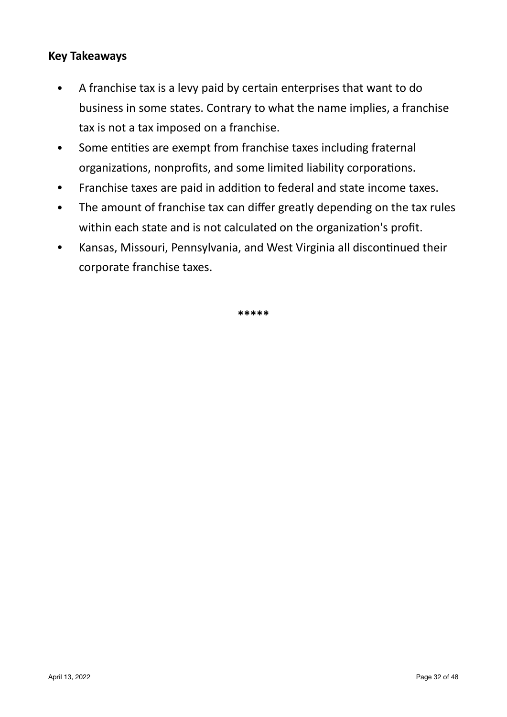#### **Key Takeaways**

- A franchise tax is a levy paid by certain enterprises that want to do business in some states. Contrary to what the name implies, a franchise tax is not a tax imposed on a franchise.
- Some entities are exempt from franchise taxes including fraternal organizations, nonprofits, and some limited liability corporations.
- Franchise taxes are paid in addition to federal and state income taxes.
- The amount of franchise tax can differ greatly depending on the tax rules within each state and is not calculated on the organization's profit.
- Kansas, Missouri, Pennsylvania, and West Virginia all discontinued their corporate franchise taxes.

**\*\*\*\*\***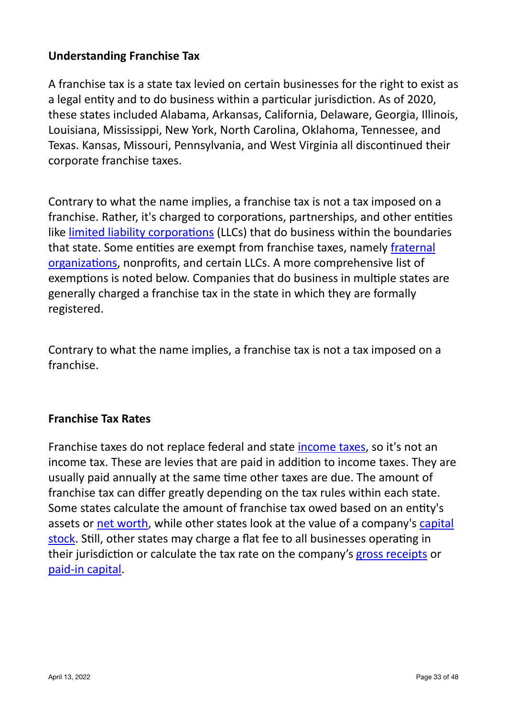# **Understanding Franchise Tax**

A franchise tax is a state tax levied on certain businesses for the right to exist as a legal entity and to do business within a particular jurisdiction. As of 2020, these states included Alabama, Arkansas, California, Delaware, Georgia, Illinois, Louisiana, Mississippi, New York, North Carolina, Oklahoma, Tennessee, and Texas. Kansas, Missouri, Pennsylvania, and West Virginia all discontinued their corporate franchise taxes.

Contrary to what the name implies, a franchise tax is not a tax imposed on a franchise. Rather, it's charged to corporations, partnerships, and other entities like limited liability corporations (LLCs) that do business within the boundaries that state. Some entities are exempt from franchise taxes, namely fraternal [organizations,](https://www.investopedia.com/terms/f/fraternal-organization.asp) nonprofits, and certain LLCs. A more comprehensive list of exemptions is noted below. Companies that do business in multiple states are generally charged a franchise tax in the state in which they are formally registered.

Contrary to what the name implies, a franchise tax is not a tax imposed on a franchise.

#### **Franchise Tax Rates**

Franchise taxes do not replace federal and state income taxes, so it's not an income tax. These are levies that are paid in addition to income taxes. They are usually paid annually at the same time other taxes are due. The amount of franchise tax can differ greatly depending on the tax rules within each state. Some states calculate the amount of franchise tax owed based on an entity's assets or net worth, while other states look at the value of a company's capital [stock](https://www.investopedia.com/terms/c/capitalstock.asp). Still, other states may charge a flat fee to all businesses operating in their jurisdiction or calculate the tax rate on the company's gross receipts or paid-in capital.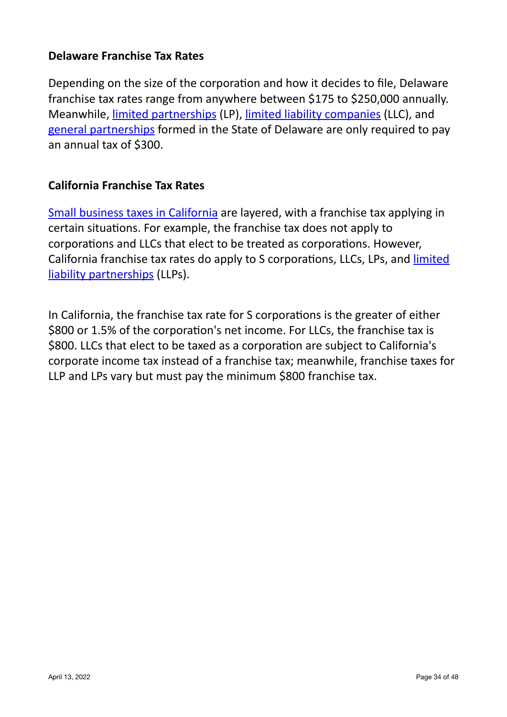#### **Delaware Franchise Tax Rates**

Depending on the size of the corporation and how it decides to file, Delaware franchise tax rates range from anywhere between \$175 to \$250,000 annually. Meanwhile, limited partnerships (LP), limited liability companies (LLC), and general partnerships formed in the State of Delaware are only required to pay an annual tax of \$300.

#### **California Franchise Tax Rates**

Small business taxes in California are layered, with a franchise tax applying in certain situations. For example, the franchise tax does not apply to corporations and LLCs that elect to be treated as corporations. However, California franchise tax rates do apply to S corporations, LLCs, LPs, and limited liability partnerships (LLPs).

In California, the franchise tax rate for S corporations is the greater of either \$800 or 1.5% of the corporation's net income. For LLCs, the franchise tax is \$800. LLCs that elect to be taxed as a corporation are subject to California's corporate income tax instead of a franchise tax; meanwhile, franchise taxes for LLP and LPs vary but must pay the minimum \$800 franchise tax.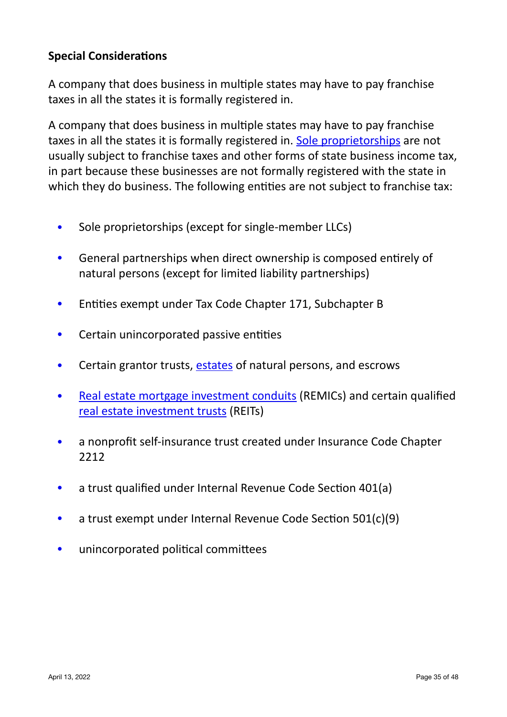# **Special Considerations**

A company that does business in multiple states may have to pay franchise taxes in all the states it is formally registered in.

A company that does business in multiple states may have to pay franchise taxes in all the states it is formally registered in. Sole proprietorships are not usually subject to franchise taxes and other forms of state business income tax, in part because these businesses are not formally registered with the state in which they do business. The following entities are not subject to franchise tax:

- Sole proprietorships (except for single-member LLCs)
- General partnerships when direct ownership is composed entirely of natural persons (except for limited liability partnerships)
- Entities exempt under Tax Code Chapter 171, Subchapter B
- Certain unincorporated passive entities
- Certain grantor trusts, estates of natural persons, and escrows
- Real estate mortgage investment conduits (REMICs) and certain qualified real estate investment trusts (REITs)
- a nonprofit self-insurance trust created under Insurance Code Chapter 2212
- a trust qualified under Internal Revenue Code Section 401(a)
- a trust exempt under Internal Revenue Code Section 501(c)(9)
- unincorporated political committees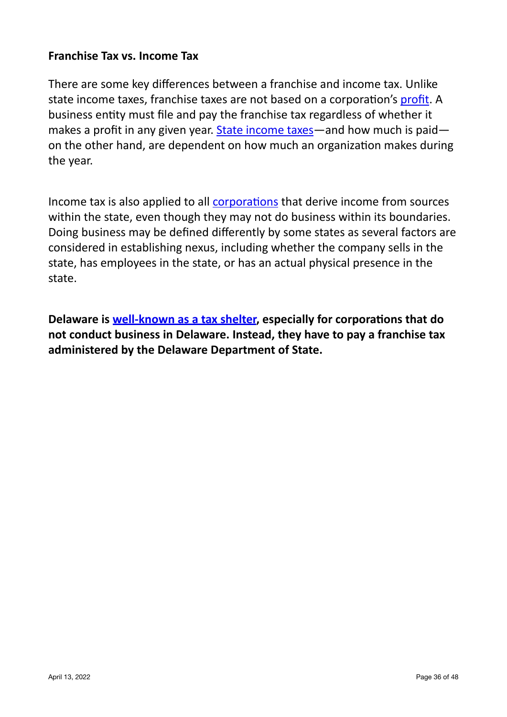#### **Franchise Tax vs. Income Tax**

There are some key differences between a franchise and income tax. Unlike state income taxes, franchise taxes are not based on a corporation's profit. A business entity must file and pay the franchise tax regardless of whether it makes a profit in any given year. State income taxes—and how much is paid on the other hand, are dependent on how much an organization makes during the year.

Income tax is also applied to all corporations that derive income from sources within the state, even though they may not do business within its boundaries. Doing business may be defined differently by some states as several factors are considered in establishing nexus, including whether the company sells in the state, has employees in the state, or has an actual physical presence in the state.

**Delaware is well-known as a tax shelter, especially for corporations that do** not conduct business in Delaware. Instead, they have to pay a franchise tax administered by the Delaware Department of State.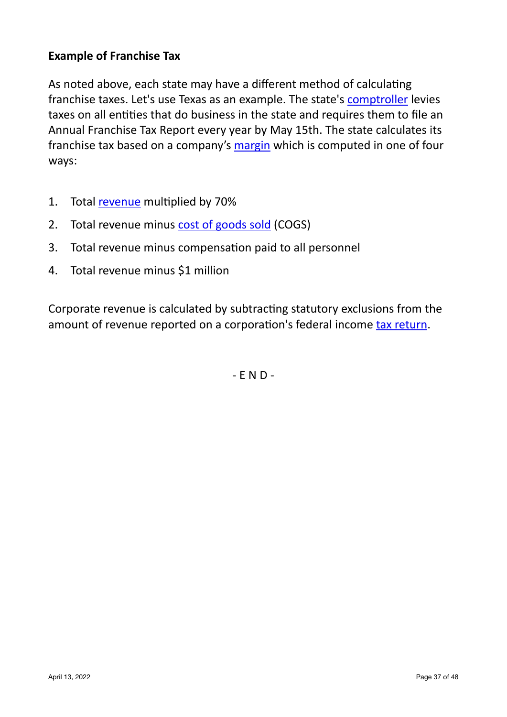# **Example of Franchise Tax**

As noted above, each state may have a different method of calculating franchise taxes. Let's use Texas as an example. The state's [comptroller](https://www.investopedia.com/terms/c/comptroller.asp) levies taxes on all entities that do business in the state and requires them to file an Annual Franchise Tax Report every year by May 15th. The state calculates its franchise tax based on a company's margin which is computed in one of four ways:

- 1. Total [revenue](https://www.investopedia.com/terms/r/revenue.asp) multiplied by 70%
- 2. Total revenue minus cost of goods sold (COGS)
- 3. Total revenue minus compensation paid to all personnel
- 4. Total revenue minus \$1 million

Corporate revenue is calculated by subtracting statutory exclusions from the amount of revenue reported on a corporation's federal income tax return.

 $-FND-$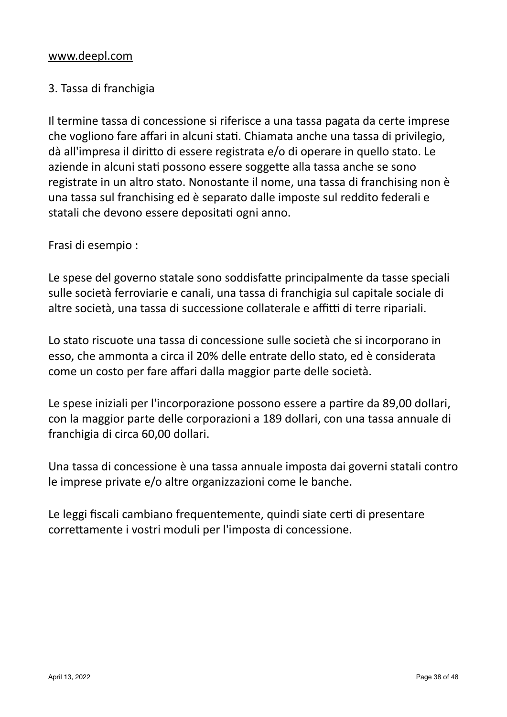# 3. Tassa di franchigia

Il termine tassa di concessione si riferisce a una tassa pagata da certe imprese che vogliono fare affari in alcuni stati. Chiamata anche una tassa di privilegio, dà all'impresa il diritto di essere registrata e/o di operare in quello stato. Le aziende in alcuni stati possono essere soggette alla tassa anche se sono registrate in un altro stato. Nonostante il nome, una tassa di franchising non è una tassa sul franchising ed è separato dalle imposte sul reddito federali e statali che devono essere depositati ogni anno.

Frasi di esempio :

Le spese del governo statale sono soddisfatte principalmente da tasse speciali sulle società ferroviarie e canali, una tassa di franchigia sul capitale sociale di altre società, una tassa di successione collaterale e affitti di terre ripariali.

Lo stato riscuote una tassa di concessione sulle società che si incorporano in esso, che ammonta a circa il 20% delle entrate dello stato, ed è considerata come un costo per fare affari dalla maggior parte delle società.

Le spese iniziali per l'incorporazione possono essere a partire da 89,00 dollari, con la maggior parte delle corporazioni a 189 dollari, con una tassa annuale di franchigia di circa 60,00 dollari.

Una tassa di concessione è una tassa annuale imposta dai governi statali contro le imprese private e/o altre organizzazioni come le banche.

Le leggi fiscali cambiano frequentemente, quindi siate certi di presentare correttamente i vostri moduli per l'imposta di concessione.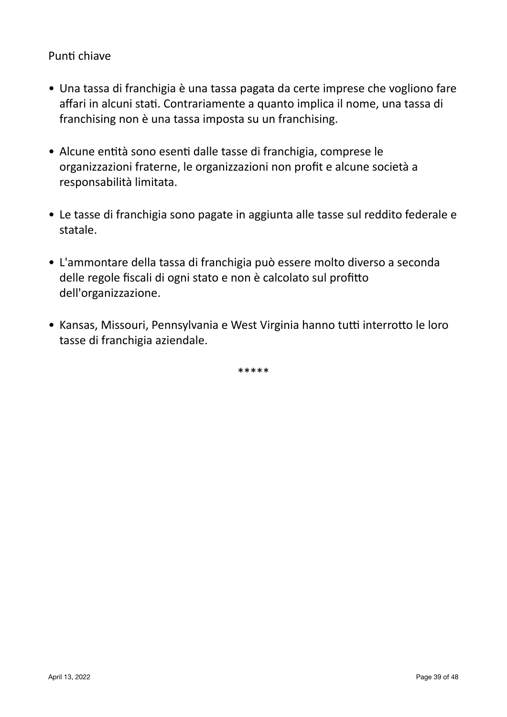#### Punti chiave

- Una tassa di franchigia è una tassa pagata da certe imprese che vogliono fare affari in alcuni stati. Contrariamente a quanto implica il nome, una tassa di franchising non è una tassa imposta su un franchising.
- Alcune entità sono esenti dalle tasse di franchigia, comprese le organizzazioni fraterne, le organizzazioni non profit e alcune società a responsabilità limitata.
- Le tasse di franchigia sono pagate in aggiunta alle tasse sul reddito federale e statale.
- L'ammontare della tassa di franchigia può essere molto diverso a seconda delle regole fiscali di ogni stato e non è calcolato sul profitto dell'organizzazione.
- Kansas, Missouri, Pennsylvania e West Virginia hanno tutti interrotto le loro tasse di franchigia aziendale.

\*\*\*\*\*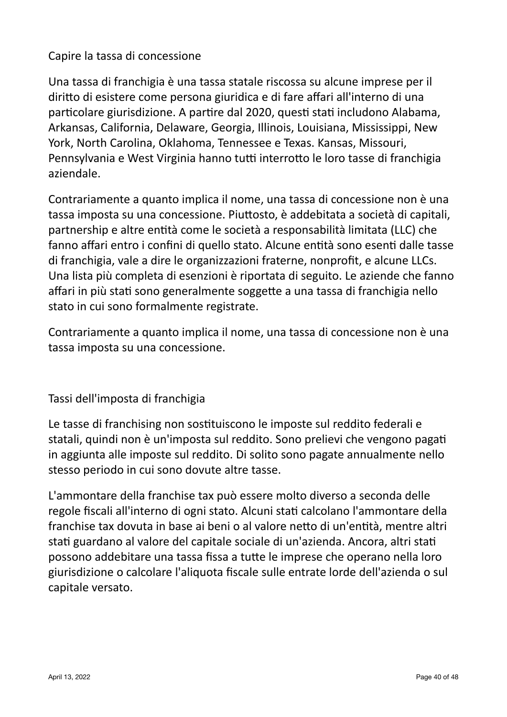# Capire la tassa di concessione

Una tassa di franchigia è una tassa statale riscossa su alcune imprese per il diritto di esistere come persona giuridica e di fare affari all'interno di una particolare giurisdizione. A partire dal 2020, questi stati includono Alabama, Arkansas, California, Delaware, Georgia, Illinois, Louisiana, Mississippi, New York, North Carolina, Oklahoma, Tennessee e Texas. Kansas, Missouri, Pennsylvania e West Virginia hanno tutti interrotto le loro tasse di franchigia aziendale.

Contrariamente a quanto implica il nome, una tassa di concessione non è una tassa imposta su una concessione. Piuttosto, è addebitata a società di capitali, partnership e altre entità come le società a responsabilità limitata (LLC) che fanno affari entro i confini di quello stato. Alcune entità sono esenti dalle tasse di franchigia, vale a dire le organizzazioni fraterne, nonprofit, e alcune LLCs. Una lista più completa di esenzioni è riportata di seguito. Le aziende che fanno affari in più stati sono generalmente soggette a una tassa di franchigia nello stato in cui sono formalmente registrate.

Contrariamente a quanto implica il nome, una tassa di concessione non è una tassa imposta su una concessione.

## Tassi dell'imposta di franchigia

Le tasse di franchising non sostituiscono le imposte sul reddito federali e statali, quindi non è un'imposta sul reddito. Sono prelievi che vengono pagati in aggiunta alle imposte sul reddito. Di solito sono pagate annualmente nello stesso periodo in cui sono dovute altre tasse.

L'ammontare della franchise tax può essere molto diverso a seconda delle regole fiscali all'interno di ogni stato. Alcuni stati calcolano l'ammontare della franchise tax dovuta in base ai beni o al valore netto di un'entità, mentre altri stati guardano al valore del capitale sociale di un'azienda. Ancora, altri stati possono addebitare una tassa fissa a tutte le imprese che operano nella loro giurisdizione o calcolare l'aliquota fiscale sulle entrate lorde dell'azienda o sul capitale versato.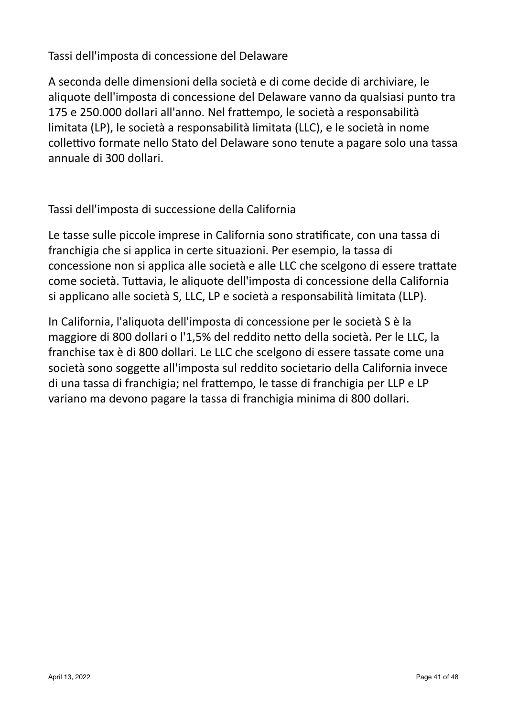Tassi dell'imposta di concessione del Delaware

A seconda delle dimensioni della società e di come decide di archiviare, le aliquote dell'imposta di concessione del Delaware vanno da qualsiasi punto tra 175 e 250.000 dollari all'anno. Nel frattempo, le società a responsabilità limitata (LP), le società a responsabilità limitata (LLC), e le società in nome collettivo formate nello Stato del Delaware sono tenute a pagare solo una tassa annuale di 300 dollari.

Tassi dell'imposta di successione della California

Le tasse sulle piccole imprese in California sono stratificate, con una tassa di franchigia che si applica in certe situazioni. Per esempio, la tassa di concessione non si applica alle società e alle LLC che scelgono di essere trattate come società. Tuttavia, le aliquote dell'imposta di concessione della California si applicano alle società S, LLC, LP e società a responsabilità limitata (LLP).

In California, l'aliquota dell'imposta di concessione per le società S è la maggiore di 800 dollari o l'1,5% del reddito netto della società. Per le LLC, la franchise tax è di 800 dollari. Le LLC che scelgono di essere tassate come una società sono soggette all'imposta sul reddito societario della California invece di una tassa di franchigia; nel frattempo, le tasse di franchigia per LLP e LP variano ma devono pagare la tassa di franchigia minima di 800 dollari.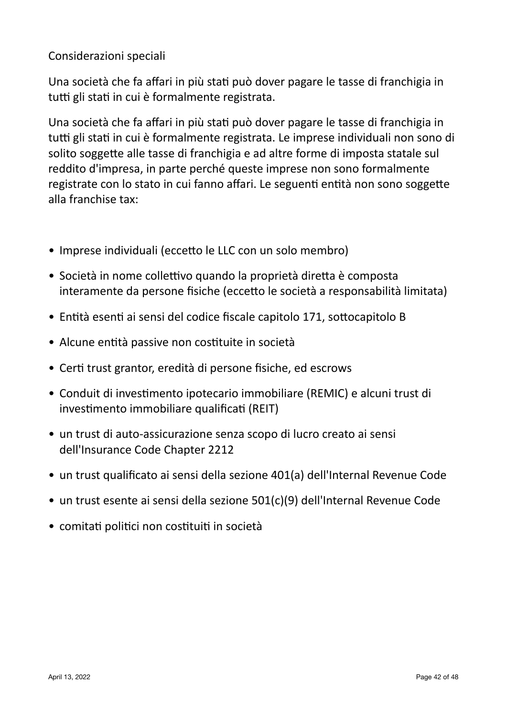# Considerazioni speciali

Una società che fa affari in più stati può dover pagare le tasse di franchigia in tutti gli stati in cui è formalmente registrata.

Una società che fa affari in più stati può dover pagare le tasse di franchigia in tutti gli stati in cui è formalmente registrata. Le imprese individuali non sono di solito soggette alle tasse di franchigia e ad altre forme di imposta statale sul reddito d'impresa, in parte perché queste imprese non sono formalmente registrate con lo stato in cui fanno affari. Le seguenti entità non sono soggette alla franchise tax:

- Imprese individuali (eccetto le LLC con un solo membro)
- Società in nome collettivo quando la proprietà diretta è composta interamente da persone fisiche (eccetto le società a responsabilità limitata)
- Entità esenti ai sensi del codice fiscale capitolo 171, sottocapitolo B
- Alcune entità passive non costituite in società
- Certi trust grantor, eredità di persone fisiche, ed escrows
- Conduit di investimento ipotecario immobiliare (REMIC) e alcuni trust di investimento immobiliare qualificati (REIT)
- un trust di auto-assicurazione senza scopo di lucro creato ai sensi dell'Insurance Code Chapter 2212
- un trust qualificato ai sensi della sezione 401(a) dell'Internal Revenue Code
- un trust esente ai sensi della sezione 501(c)(9) dell'Internal Revenue Code
- comitati politici non costituiti in società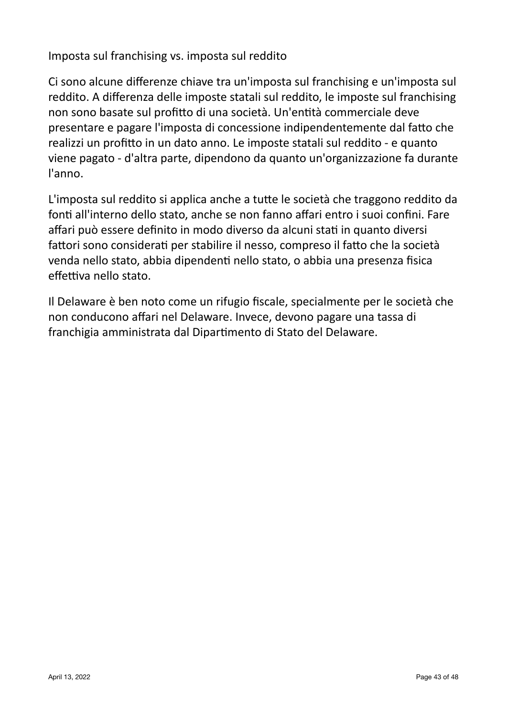Imposta sul franchising vs. imposta sul reddito

Ci sono alcune differenze chiave tra un'imposta sul franchising e un'imposta sul reddito. A differenza delle imposte statali sul reddito, le imposte sul franchising non sono basate sul profitto di una società. Un'entità commerciale deve presentare e pagare l'imposta di concessione indipendentemente dal fatto che realizzi un profitto in un dato anno. Le imposte statali sul reddito - e quanto viene pagato - d'altra parte, dipendono da quanto un'organizzazione fa durante l'anno.

L'imposta sul reddito si applica anche a tutte le società che traggono reddito da fonti all'interno dello stato, anche se non fanno affari entro i suoi confini. Fare affari può essere definito in modo diverso da alcuni stati in quanto diversi fattori sono considerati per stabilire il nesso, compreso il fatto che la società venda nello stato, abbia dipendenti nello stato, o abbia una presenza fisica effettiva nello stato.

Il Delaware è ben noto come un rifugio fiscale, specialmente per le società che non conducono affari nel Delaware. Invece, devono pagare una tassa di franchigia amministrata dal Dipartimento di Stato del Delaware.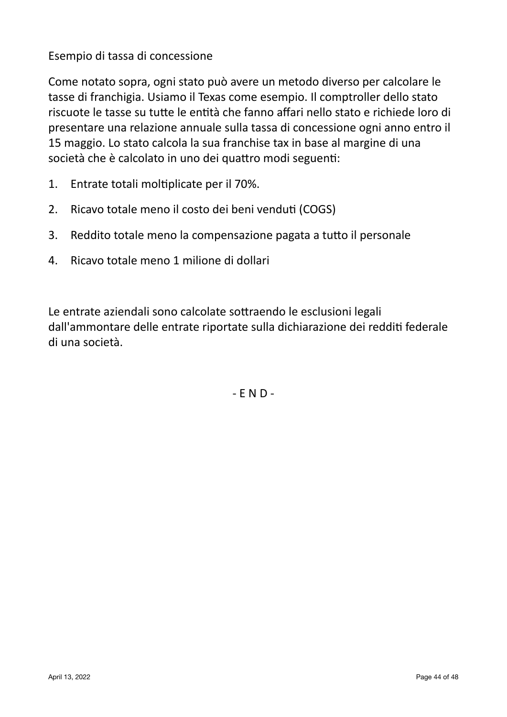Esempio di tassa di concessione

Come notato sopra, ogni stato può avere un metodo diverso per calcolare le tasse di franchigia. Usiamo il Texas come esempio. Il comptroller dello stato riscuote le tasse su tutte le entità che fanno affari nello stato e richiede loro di presentare una relazione annuale sulla tassa di concessione ogni anno entro il 15 maggio. Lo stato calcola la sua franchise tax in base al margine di una società che è calcolato in uno dei quattro modi seguenti:

- 1. Entrate totali moltiplicate per il 70%.
- 2. Ricavo totale meno il costo dei beni venduti (COGS)
- 3. Reddito totale meno la compensazione pagata a tutto il personale
- 4. Ricavo totale meno 1 milione di dollari

Le entrate aziendali sono calcolate sottraendo le esclusioni legali dall'ammontare delle entrate riportate sulla dichiarazione dei redditi federale di una società.

 $-$  E N D  $-$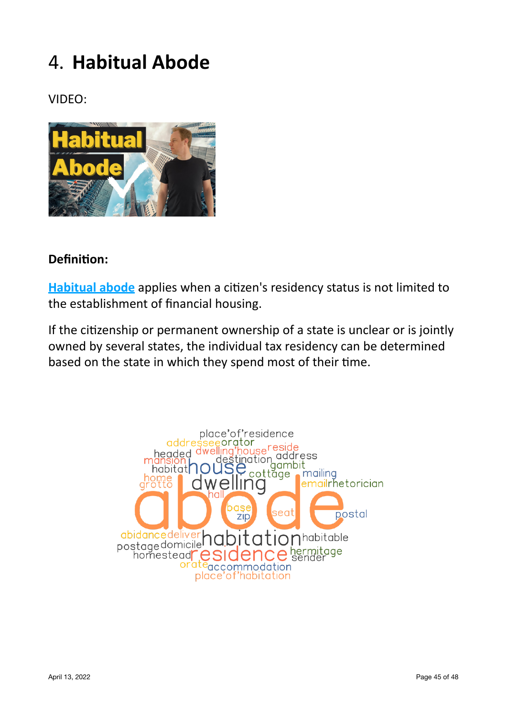# 4. **Habitual Abode**

VIDEO:



# **Definition:**

**Habitual abode** applies when a citizen's residency status is not limited to the establishment of financial housing.

If the citizenship or permanent ownership of a state is unclear or is jointly owned by several states, the individual tax residency can be determined based on the state in which they spend most of their time.

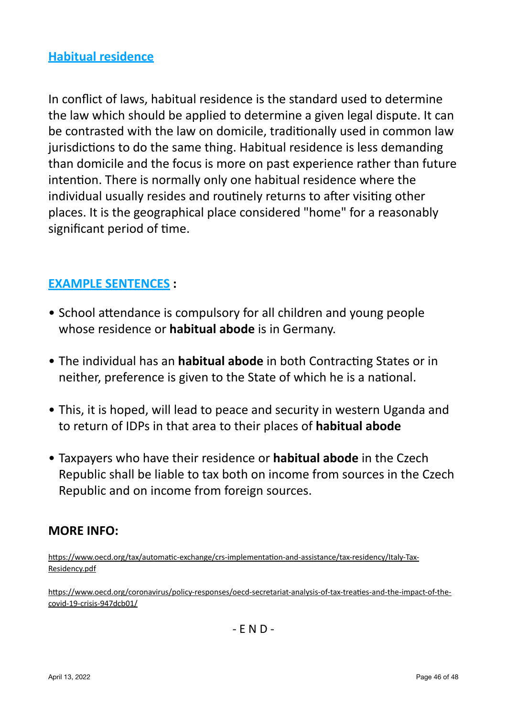In conflict of laws, habitual residence is the standard used to determine the law which should be applied to determine a given legal dispute. It can be contrasted with the law on domicile, traditionally used in common law jurisdictions to do the same thing. Habitual residence is less demanding than domicile and the focus is more on past experience rather than future intention. There is normally only one habitual residence where the individual usually resides and routinely returns to after visiting other places. It is the geographical place considered "home" for a reasonably significant period of time.

# **EXAMPLE SENTENCES :**

- School attendance is compulsory for all children and young people whose residence or **habitual abode** is in Germany.
- The individual has an **habitual abode** in both Contracting States or in neither, preference is given to the State of which he is a national.
- This, it is hoped, will lead to peace and security in western Uganda and to return of IDPs in that area to their places of **habitual abode**
- Taxpayers who have their residence or **habitual abode** in the Czech Republic shall be liable to tax both on income from sources in the Czech Republic and on income from foreign sources.

## **MORE INFO:**

[https://www.oecd.org/tax/automatic-exchange/crs-implementation-and-assistance/tax-residency/Italy-Tax-](https://www.oecd.org/tax/automatic-exchange/crs-implementation-and-assistance/tax-residency/Italy-Tax-Residency.pdf)[Residency.pdf](https://www.oecd.org/tax/automatic-exchange/crs-implementation-and-assistance/tax-residency/Italy-Tax-Residency.pdf)

[https://www.oecd.org/coronavirus/policy-responses/oecd-secretariat-analysis-of-tax-treaties-and-the-impact-of-the](https://www.oecd.org/coronavirus/policy-responses/oecd-secretariat-analysis-of-tax-treaties-and-the-impact-of-the-covid-19-crisis-947dcb01/)[covid-19-crisis-947dcb01/](https://www.oecd.org/coronavirus/policy-responses/oecd-secretariat-analysis-of-tax-treaties-and-the-impact-of-the-covid-19-crisis-947dcb01/)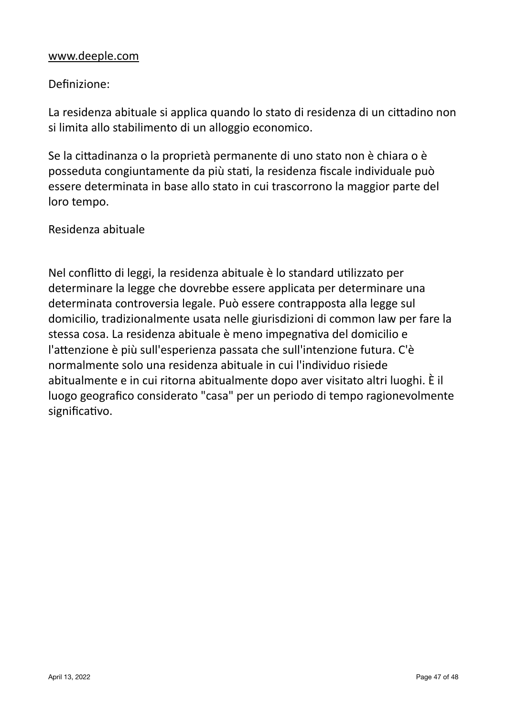#### [www.deeple.com](http://www.deeple.com)

#### Definizione:

La residenza abituale si applica quando lo stato di residenza di un cittadino non si limita allo stabilimento di un alloggio economico.

Se la cittadinanza o la proprietà permanente di uno stato non è chiara o è posseduta congiuntamente da più stati, la residenza fiscale individuale può essere determinata in base allo stato in cui trascorrono la maggior parte del loro tempo.

#### Residenza abituale

Nel conflitto di leggi, la residenza abituale è lo standard utilizzato per determinare la legge che dovrebbe essere applicata per determinare una determinata controversia legale. Può essere contrapposta alla legge sul domicilio, tradizionalmente usata nelle giurisdizioni di common law per fare la stessa cosa. La residenza abituale è meno impegnativa del domicilio e l'attenzione è più sull'esperienza passata che sull'intenzione futura. C'è normalmente solo una residenza abituale in cui l'individuo risiede abitualmente e in cui ritorna abitualmente dopo aver visitato altri luoghi. È il luogo geografico considerato "casa" per un periodo di tempo ragionevolmente significativo.